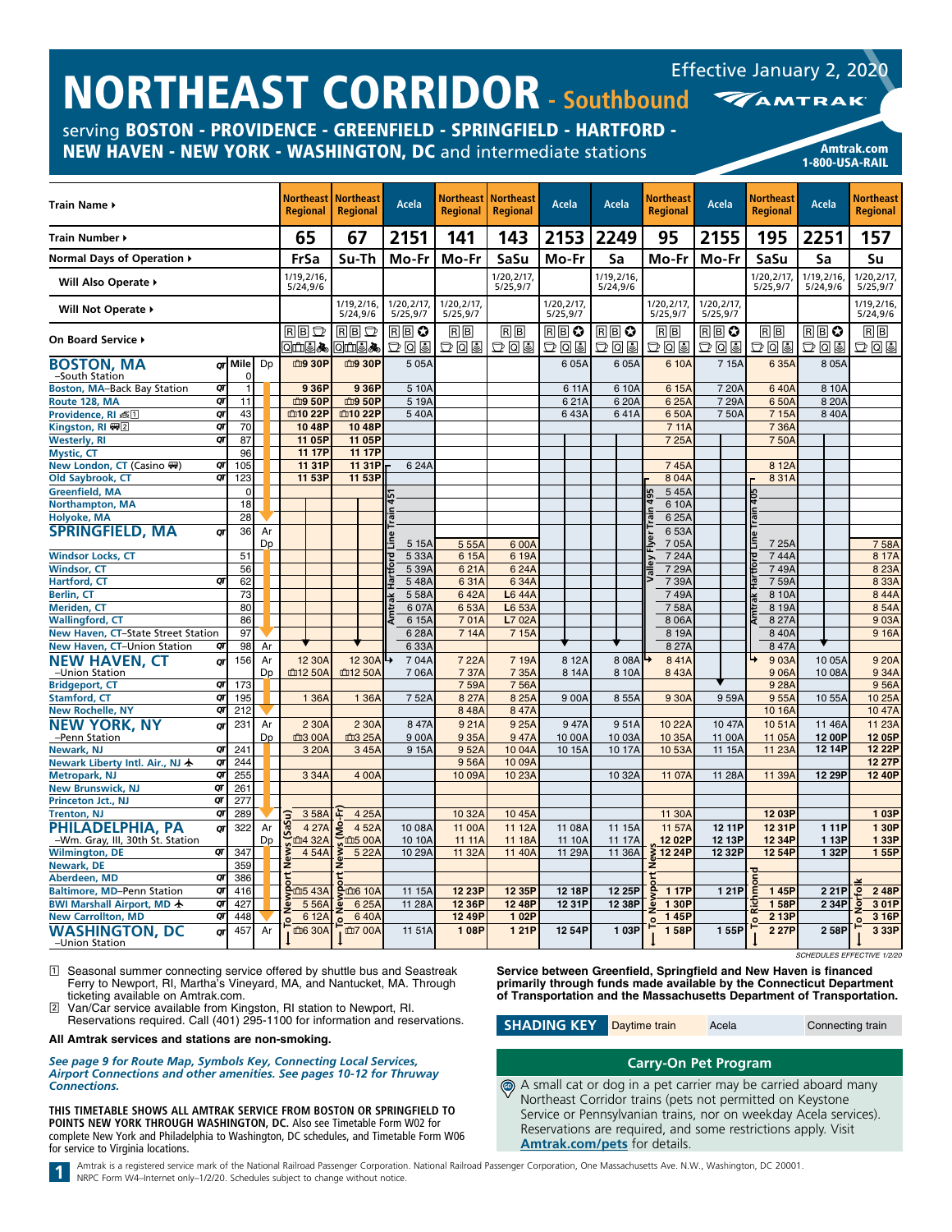serving BOSTON - PROVIDENCE - GREENFIELD - SPRINGFIELD - HARTFORD - NEW HAVEN - NEW YORK - WASHINGTON, DC and intermediate stations Amtrak.com

| Train Name ▶                            |              |    | <b>Northeast   Northeast</b><br><b>Regional</b> | <b>Regional</b>        |         | Acela                   | <b>Regional</b>       | Northeast   Northeast<br>Regional | Acela                   | Acela                  | Northeast<br><b>Regional</b>      | Acela                   | Northeast<br><b>Regional</b>         | Acela                     | <b>Northeast</b><br><b>Regional</b> |
|-----------------------------------------|--------------|----|-------------------------------------------------|------------------------|---------|-------------------------|-----------------------|-----------------------------------|-------------------------|------------------------|-----------------------------------|-------------------------|--------------------------------------|---------------------------|-------------------------------------|
| Train Number ▶                          |              |    | 65                                              | 67                     |         | 2151                    | 141                   | 143                               | 2153                    | 2249                   | 95                                | 2155                    | 195                                  | 2251                      | 157                                 |
| Normal Days of Operation ▶              |              |    | FrSa                                            | Su-Th                  |         | Mo-Fr                   | Mo-Fr                 | SaSu                              | Mo-Fr                   | Sa                     | Mo-Fr                             | Mo-Fr                   | SaSu                                 | Sa                        | Su                                  |
| Will Also Operate ▶                     |              |    | 1/19, 2/16,<br>5/24,9/6                         |                        |         |                         |                       | 1/20,2/17,<br>5/25,9/7            |                         | 1/19,2/16,<br>5/24,9/6 |                                   |                         | 1/20,2/17,<br>5/25,9/7               | 1/19,2/16,<br>5/24,9/6    | 1/20,2/17<br>5/25,9/7               |
| Will Not Operate ▶                      |              |    |                                                 | 1/19.2/16.<br>5/24,9/6 |         | 1/20, 2/17,<br>5/25,9/7 | 1/20.2/17<br>5/25,9/7 |                                   | 1/20.2/17<br>5/25,9/7   |                        | 1/20.2/17.<br>5/25,9/7            | 1/20.2/17.<br>5/25,9/7  |                                      |                           | 1/19.2/16<br>5/24,9/6               |
| On Board Service >                      |              |    | $R$ $B$ $D$<br>ા⊞⊌∧                             | $R$ $B$ $D$<br>Q⊡⊌∧    |         | RβO<br>つてる              | RB<br>$D$ lalsl       | RB<br>그미의                         | $R \mathbb{B}$ 0<br>つしっ | RBO<br>$D$ a s         | RB<br>그 미리                        | $R \mathbb{B}$ 0<br>つしっ | $\overline{R}$ $\overline{B}$<br>つてる | RBC<br>그미의                | 同同<br>つしっ                           |
| <b>BOSTON, MA</b><br>-South Station     | or Mile<br>O | Dp | 血9 30P                                          | 血9 30P                 |         | 505A                    |                       |                                   | 605A                    | 605A                   | 6 10A                             | 715A                    | 6 35A                                | 805A                      |                                     |
| QT<br>Boston, MA-Back Bay Station       | 1            |    | 936P                                            |                        | 936P    | 5 10A                   |                       |                                   | 6 11A                   | 6 10A                  | 6 15A                             | 720A                    | 640A                                 | 8 10A                     |                                     |
| QT<br>Route 128, MA                     | 11           |    | 血9 50P                                          | 血9 50P                 |         | 5 19A                   |                       |                                   | 621A                    | 620A                   | 625A                              | 729A                    | 650A                                 | 8 20 A                    |                                     |
| QT<br>Providence, RI 题1                 | 43           |    | 血10 22P                                         | 血10 22P                |         | 540A                    |                       |                                   | 643A                    | 641A                   | 650A                              | 750A                    | 7 15A                                | 840A                      |                                     |
| $\overline{a}$<br>Kingston, RI (四)      | 70           |    | 1048P                                           |                        | 1048P   |                         |                       |                                   |                         |                        | 7 11A                             |                         | 7 36A                                |                           |                                     |
| OΤ<br><b>Westerly, RI</b>               | 87           |    | 11 05P                                          |                        | 11 05P  |                         |                       |                                   |                         |                        | 7 25A                             |                         | 750A                                 |                           |                                     |
| <b>Mystic, CT</b>                       | 96           |    | 11 17P                                          |                        | 11 17P  |                         |                       |                                   |                         |                        |                                   |                         |                                      |                           |                                     |
| New London, CT (Casino ()<br>QΤ         | 105          |    | 11 31P                                          |                        | 11 31P  | 624A                    |                       |                                   |                         |                        | 745A                              |                         | 8 12A                                |                           |                                     |
| QT<br>Old Saybrook, CT                  | 123          |    | 11 53P                                          |                        | 11 53P  |                         |                       |                                   |                         |                        | 804A                              |                         | 8 3 1 A                              |                           |                                     |
| <b>Greenfield, MA</b>                   | $\mathbf 0$  |    |                                                 |                        |         |                         |                       |                                   |                         |                        | 545A                              |                         |                                      |                           |                                     |
| Northampton, MA                         | 18           |    |                                                 |                        |         |                         |                       |                                   |                         |                        | 6 10A                             |                         |                                      |                           |                                     |
| <b>Holyoke, MA</b>                      | 28           |    |                                                 |                        |         |                         |                       |                                   |                         |                        | 625A                              |                         |                                      |                           |                                     |
| <b>SPRINGFIELD, MA</b>                  | 36           | Ar |                                                 |                        |         |                         |                       |                                   |                         |                        | 6 53A                             |                         |                                      |                           |                                     |
| QΤ                                      |              | Dp |                                                 |                        |         | <u>eqil</u><br>5 15A    | 5 55A                 | 6 00A                             |                         |                        | ver<br>705A                       |                         | 7 25A                                |                           | 758A                                |
| <b>Windsor Locks, CT</b>                | 51           |    |                                                 |                        |         | 5 33A                   | 6 15A                 | 6 19A                             |                         |                        | 724A                              |                         | 744A                                 |                           | 8 17A                               |
| <b>Windsor, CT</b>                      | 56           |    |                                                 |                        |         | 5 39A                   | 621A                  | 624A                              |                         |                        | ιēν<br>729A                       |                         | 749A                                 |                           | 8 23A                               |
| QΓ<br>Hartford, CT                      | 62           |    |                                                 |                        |         | 548A                    | 631A                  | 6 34A                             |                         |                        | $\overline{\mathfrak{g}}$<br>739A |                         | 759A                                 |                           | 8 3 3 A                             |
| Berlin, CT                              | 73           |    |                                                 |                        |         | 558A                    | 642A                  | L6 44A                            |                         |                        | 749A                              |                         | 8 10A                                |                           | 844A                                |
| Meriden, CT                             | 80           |    |                                                 |                        |         | 6 07A                   | 653A                  | L6 53A                            |                         |                        | 758A                              |                         | 8 19A                                |                           | 854A                                |
| <b>Wallingford, CT</b>                  | 86           |    |                                                 |                        |         | 6 15A                   | 701A                  | L7 02A                            |                         |                        | 806A                              |                         | 8 27 A                               |                           | 903A                                |
|                                         |              |    |                                                 |                        |         |                         |                       |                                   |                         |                        |                                   |                         |                                      |                           |                                     |
| New Haven, CT-State Street Station      | 97           |    |                                                 |                        |         | 628A                    | 7 14A                 | 7 15A                             |                         |                        | 8 19A<br>8 27A                    |                         | 840A<br>847A                         |                           | 9 16A                               |
| New Haven, CT-Union Station<br>QT       | 98           | Ar |                                                 |                        |         | 633A                    |                       |                                   |                         |                        |                                   |                         |                                      |                           |                                     |
| <b>NEW HAVEN, CT</b><br>QΤ              | 156          | Ar | 12 30A                                          |                        | 12 30A  | 704A                    | 7 22A                 | 7 19A                             | 8 12A                   | 808A                   | 841A                              |                         | 9 03A                                | 10 05A                    | 9 20A                               |
| -Union Station                          |              | Dp | 血12 50A                                         | 血12 50A                |         | 706A                    | 7 37A                 | 7 35A                             | 8 14A                   | 8 10A                  | 843A                              |                         | 906A                                 | 10 08A                    | 934A                                |
| QΓ<br><b>Bridgeport, CT</b>             | 173          |    |                                                 |                        |         |                         | 759A                  | 756A                              |                         |                        |                                   |                         | 9 28A                                |                           | 956A                                |
| QT<br><b>Stamford, CT</b>               | 195          |    | 1 36A                                           |                        | 1 36A   | 752A                    | 8 27A                 | 8 25A                             | 900A                    | 8 55A                  | 9 30A                             | 959A                    | 955A                                 | 10 55A                    | 10 25A                              |
| QT<br><b>New Rochelle, NY</b>           | 212          |    |                                                 |                        |         |                         | 848A                  | 847A                              |                         |                        |                                   |                         | 10 16A                               |                           | 10 47A                              |
| <b>NEW YORK, NY</b><br>QΤ               | 231          | Ar | 2 30A                                           |                        | 2 30A   | 8 47A                   | 9 21A                 | 9 25A                             | 947A                    | 951A                   | 10 22A                            | 10 47A                  | 1051A                                | 11 46A                    | 11 23A                              |
| -Penn Station                           |              | Dp | 血3 00A                                          | 血3 25A                 |         | 900A                    | 9 35A                 | 947A                              | 10 00A                  | 10 03A                 | 10 35A                            | 11 00A                  | 11 05A                               | 12 00P                    | 12 05P                              |
| <b>Newark, NJ</b><br>QT                 | 241          |    | 3 20A                                           |                        | 345A    | 9 15A                   | 952A                  | 10 04A                            | 10 15A                  | 10 17A                 | 1053A                             | 11 15A                  | 11 23A                               | 12 14P                    | 12 22P                              |
| QT<br>Newark Liberty Intl. Air., NJ ★   | 244          |    |                                                 |                        |         |                         | 956A                  | 10 09A                            |                         |                        |                                   |                         |                                      |                           | 12 27P                              |
| QT<br><b>Metropark, NJ</b>              | 255          |    | 334A                                            |                        | 4 00A   |                         | 10 09A                | 10 23A                            |                         | 10 32A                 | 11 07A                            | 11 28A                  | 11 39A                               | 12 29P                    | 12 40P                              |
| QT<br><b>New Brunswick, NJ</b>          | 261          |    |                                                 |                        |         |                         |                       |                                   |                         |                        |                                   |                         |                                      |                           |                                     |
| QT<br>Princeton Jct., NJ                | 277          |    |                                                 |                        |         |                         |                       |                                   |                         |                        |                                   |                         |                                      |                           |                                     |
| QΤ<br><b>Trenton, NJ</b>                | 289          |    | 3 58A                                           |                        | 4 25A   |                         | 10 32A                | 10 45A                            |                         |                        | 11 30A                            |                         | 12 03P                               |                           | 1 03P                               |
| PHILADELPHIA, PA<br>QT                  | 322          | Ar | 4 27A<br>Sa                                     | Ò                      | 452A    | 10 08A                  | 11 00A                | 11 12A                            | 11 08A                  | 11 15A                 | 11 57A                            | 12 11P                  | 12 31P                               | 111P                      | 1 30P                               |
| -Wm. Gray, III, 30th St. Station        |              | Dp | ft 32A                                          | <b>血5 00A</b>          |         | 10 10A                  | 11 11A                | 11 18A                            | 11 10A                  | 11 17A                 | 1202P                             | 12 13P                  | 12 34P                               | 113P                      | 1 33P                               |
| QT<br><b>Wilmington, DE</b>             | 347          |    | 454A                                            |                        | 5 2 2 A | 10 29A                  | 11 32A                | 11 40A                            | 11 29A                  | 11 36A                 | 12 24P                            | 12 32P                  | 12 54P                               | 1 32P                     | 1 55P                               |
| Newark, DE                              | 359          |    | ۹è                                              |                        |         |                         |                       |                                   |                         |                        |                                   |                         |                                      |                           |                                     |
| QT<br>Aberdeen, MD                      | 386          |    |                                                 |                        |         |                         |                       |                                   |                         |                        |                                   |                         |                                      |                           |                                     |
| QT<br><b>Baltimore, MD-Penn Station</b> | 416          |    | em <sub>5</sub> 43A                             | <b>g</b> 面6 10A        |         | 11 15A                  | 12 23P                | 12 35P                            | 12 18P                  | 12 25P                 | 1 17P                             | 1 21P                   | 1 45P                                | 221P                      | 248P<br>ত                           |
| BWI Marshall Airport, MD +<br>QT        | 427          |    | 5 5 6 A                                         |                        | 6 25A   | 11 28A                  | 12 36P                | 12 48P                            | 12 31P                  | 12 38P                 | 1 30P                             |                         | 158P                                 | 2 34P                     | 301P<br>ā                           |
| QT<br><b>New Carrollton, MD</b>         | 448          |    | 6 12A                                           |                        | 640A    |                         | 12 49P                | 1 02P                             |                         |                        | 145P                              |                         | 2 13P                                |                           | 3 16P                               |
| <b>WASHINGTON, DC</b><br>QΓ             | 457          | Ar | 血6 30A                                          | <b>血7 00A</b>          |         | 11 51A                  | 108P                  | 121P                              | 12 54P                  | 103P                   | 158P                              | 155P                    | 2 27P                                | 258P                      | 3 33P                               |
| -Union Station                          |              |    |                                                 |                        |         |                         |                       |                                   |                         |                        |                                   |                         |                                      | SCHEDULES EFFECTIVE 1/2/2 |                                     |

1 Seasonal summer connecting service offered by shuttle bus and Seastreak Ferry to Newport, RI, Martha's Vineyard, MA, and Nantucket, MA. Through ticketing available on Amtrak.com.

2 Van/Car service available from Kingston, RI station to Newport, RI. Reservations required. Call (401) 295-1100 for information and reservations.

**All Amtrak services and stations are non-smoking.**

*See page 9 for Route Map, Symbols Key, Connecting Local Services, Airport Connections and other amenities. See pages 10-12 for Thruway Connections.*

**THIS TIMETABLE SHOWS ALL AMTRAK SERVICE FROM BOSTON OR SPRINGFIELD TO POINTS NEW YORK THROUGH WASHINGTON, DC.** Also see Timetable Form W02 for complete New York and Philadelphia to Washington, DC schedules, and Timetable Form W06 for service to Virginia locations.

1-800-USA-RAIL

**Service between Greenfield, Springfield and New Haven is financed primarily through funds made available by the Connecticut Department of Transportation and the Massachusetts Department of Transportation.**

**SHADING KEY** Daytime train Acela Connecting train

## **Carry-On Pet Program**

A small cat or dog in a pet carrier may be carried aboard many Northeast Corridor trains (pets not permitted on Keystone Service or Pennsylvanian trains, nor on weekday Acela services). Reservations are required, and some restrictions apply. Visit **[Amtrak.com/pets](https://www.amtrak.com/pets)** for details.  $\bigcirc$ 

Amtrak is a registered service mark of the National Railroad Passenger Corporation. National Railroad Passenger Corporation, One Massachusetts Ave. N.W., Washington, DC 20001.<br>NRPC Form W4-Internet only-1/2/20. Schedules s

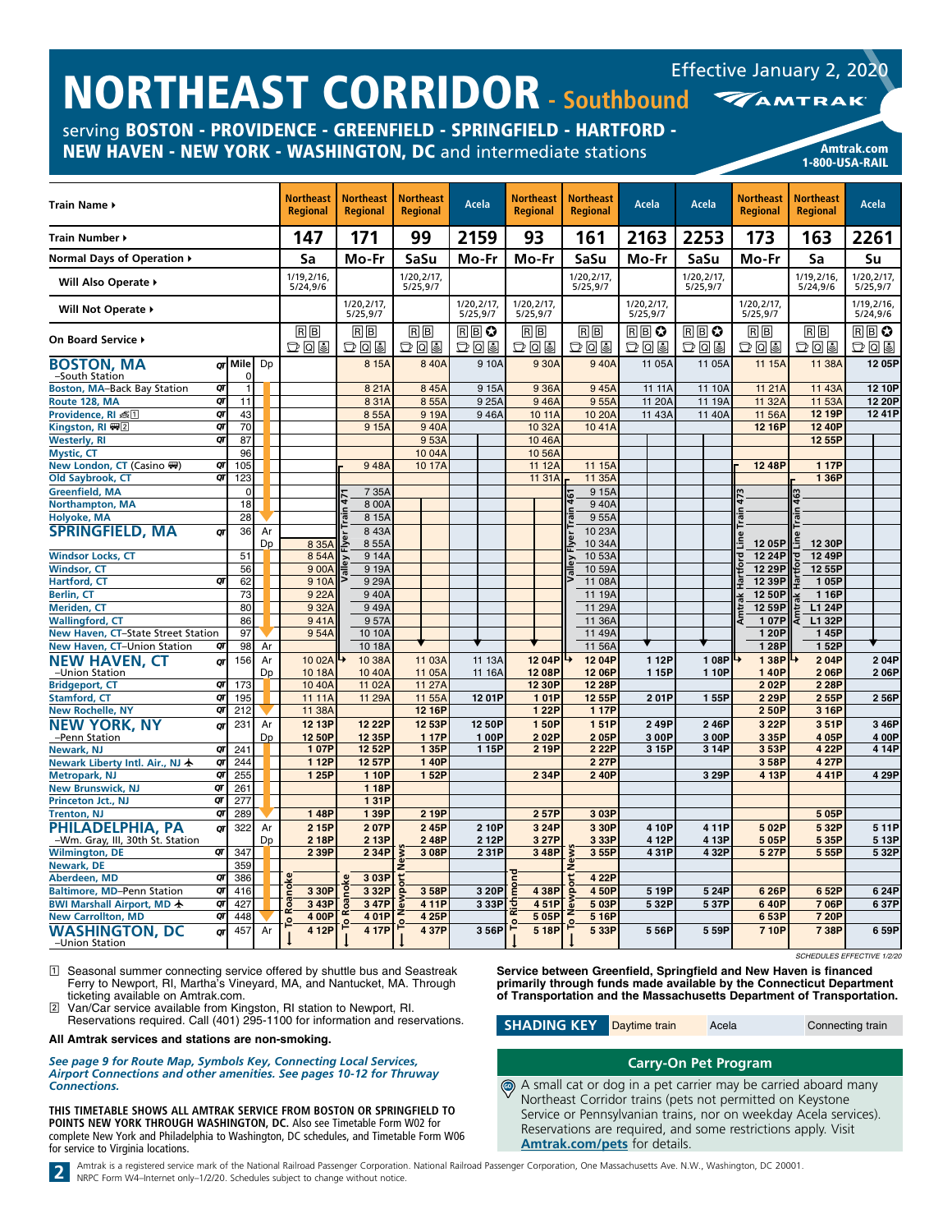| <b>INURINEASI LURRIDUR - Southbound</b>                                                                                                |           |                |    |                                     |                                     |                                     |                        |                                     |                                     |                         |                        |                                     | <b>MAMTRAK</b>                      |                         |
|----------------------------------------------------------------------------------------------------------------------------------------|-----------|----------------|----|-------------------------------------|-------------------------------------|-------------------------------------|------------------------|-------------------------------------|-------------------------------------|-------------------------|------------------------|-------------------------------------|-------------------------------------|-------------------------|
| serving BOSTON - PROVIDENCE - GREENFIELD - SPRINGFIELD - HARTFORD -<br>NEW HAVEN - NEW YORK - WASHINGTON, DC and intermediate stations |           |                |    |                                     |                                     |                                     |                        |                                     |                                     |                         |                        |                                     | 1-800-USA-RAIL                      | Amtrak.com              |
| Train Name ▶                                                                                                                           |           |                |    | <b>Northeast</b><br><b>Regional</b> | <b>Northeast</b><br><b>Regional</b> | <b>Northeast</b><br><b>Regional</b> | Acela                  | <b>Northeast</b><br><b>Regional</b> | <b>Northeast</b><br><b>Regional</b> | Acela                   | Acela                  | <b>Northeast</b><br><b>Regional</b> | <b>Northeast</b><br><b>Regional</b> | Acela                   |
| Train Number ▶                                                                                                                         |           |                |    | 147                                 | 171                                 | 99                                  | 2159                   | 93                                  | 161                                 | 2163                    | 2253                   | 173                                 | 163                                 | 2261                    |
| Normal Days of Operation ▶                                                                                                             |           |                |    | Sa                                  | Mo-Fr                               | SaSu                                | Mo-Fr                  | Mo-Fr                               | SaSu                                | Mo-Fr                   | SaSu                   | Mo-Fr                               | Sa                                  | Su                      |
| Will Also Operate ▶                                                                                                                    |           |                |    | 1/19,2/16,<br>5/24,9/6              |                                     | 1/20,2/17,<br>5/25,9/7              |                        |                                     | 1/20,2/17,<br>5/25,9/7              |                         | 1/20,2/17,<br>5/25,9/7 |                                     | 1/19,2/16,<br>5/24,9/6              | 1/20,2/17,<br>5/25,9/7  |
| Will Not Operate ▶                                                                                                                     |           |                |    |                                     | 1/20,2/17,<br>5/25,9/7              |                                     | 1/20,2/17,<br>5/25,9/7 | 1/20.2/17.<br>5/25,9/7              |                                     | 1/20, 2/17,<br>5/25,9/7 |                        | 1/20,2/17,<br>5/25,9/7              |                                     | 1/19, 2/16,<br>5/24,9/6 |
| On Board Service ▶                                                                                                                     |           |                |    | $R$ $B$<br>つしっ                      | $B$ $B$<br>D0I                      | $R$ $B$<br>DQ                       | RB♡<br>あてす             | RB<br>あてる                           | $R$ $B$<br>DQ                       | RB♡<br>$D$ 0 9          | RB♡<br>あてる             | RB<br>つてき                           | $R$ $B$<br>$D$ Q &                  | RB♡<br>$D$ 0 9          |
| <b>BOSTON, MA</b><br>-South Station                                                                                                    |           | or Mile<br>0   | Dp |                                     | 8 15A                               | 840A                                | 910A                   | 930A                                | 940A                                | 11 05A                  | 11 05A                 | 11 15A                              | 11 38A                              | 12 05P                  |
| Boston, MA-Back Bay Station                                                                                                            | QT        | $\overline{1}$ |    |                                     | 821A                                | 845A                                | 9 15A                  | 9 36A                               | 945A                                | 11 11A                  | 11 10A                 | 11 21A                              | 11 43A                              | 12 10P                  |
| Route 128, MA                                                                                                                          | QT        | 11             |    |                                     | 831A                                | 855A                                | 9 25A                  | 946A                                | 955A                                | 11 20A                  | 11 19A                 | 11 32A                              | 11 53A                              | 12 20P                  |
| Providence, RI 点1<br>Kingston, RI ₩2                                                                                                   | QT<br>QT  | 43<br>70       |    |                                     | 855A<br>9 15A                       | 9 19A<br>940A                       | 946A                   | 10 11A<br>10 32A                    | 10 20A<br>1041A                     | 11 43A                  | 11 40A                 | 11 56A<br>12 16P                    | 12 19P<br>12 40P                    | 1241P                   |
| <b>Westerly, RI</b>                                                                                                                    | QT        | 87             |    |                                     |                                     | 953A                                |                        | 1046A                               |                                     |                         |                        |                                     | 12 55P                              |                         |
| <b>Mystic, CT</b>                                                                                                                      |           | 96             |    |                                     |                                     | 1004A                               |                        | 10 56A                              |                                     |                         |                        |                                     |                                     |                         |
| New London, CT (Casino ()                                                                                                              | QΓ        | 105            |    |                                     | 948A                                | 10 17A                              |                        | 11 12A                              | 11 15A                              |                         |                        | 1248P                               | 1 17P                               |                         |
| Old Saybrook, CT                                                                                                                       | QT        | 123            |    |                                     |                                     |                                     |                        | 11 31A                              | 11 35A                              |                         |                        |                                     | 1 36P                               |                         |
| <b>Greenfield, MA</b>                                                                                                                  |           | $\overline{0}$ |    |                                     | 7 35A                               |                                     |                        |                                     | 915A                                |                         |                        |                                     |                                     |                         |
| <b>Northampton, MA</b>                                                                                                                 |           | 18<br>28       |    |                                     | 8 00A<br>8 15A                      |                                     |                        |                                     | 940A                                |                         |                        |                                     |                                     |                         |
| <b>Holyoke, MA</b><br><b>SPRINGFIELD, MA</b>                                                                                           |           | 36             | Ar |                                     | 843A                                |                                     |                        |                                     | 955A<br>10 23A                      |                         |                        |                                     |                                     |                         |
|                                                                                                                                        | QΤ        |                | Dp | 8 35A                               | 8 55A                               |                                     |                        |                                     | 10 34A                              |                         |                        | 1205P                               | 12 30P                              |                         |
| <b>Windsor Locks, CT</b>                                                                                                               |           | 51             |    | 854A                                | 9 14A                               |                                     |                        |                                     | 1053A                               |                         |                        | 12 24P                              | 12 49P                              |                         |
| <b>Windsor, CT</b><br>Hartford, CT                                                                                                     | σr        | 56<br>62       |    | 9 00A<br>9 10A                      | 9 19A<br>9 29A                      |                                     |                        |                                     | 10 59A<br>11 08A                    |                         |                        | 12 29P<br>12 39P                    | 12 55P<br>105P                      |                         |
| Berlin, CT                                                                                                                             |           | 73             |    | 9 22A                               | 940A                                |                                     |                        |                                     | 11 19A                              |                         |                        | 12 50P                              | 1 16P                               |                         |
| <b>Meriden, CT</b>                                                                                                                     |           | 80             |    | 9 32A                               | 949A                                |                                     |                        |                                     | 11 29A                              |                         |                        | 12 59P                              | L1 24P                              |                         |
| <b>Wallingford, CT</b>                                                                                                                 |           | 86             |    | 941A                                | 957A                                |                                     |                        |                                     | 11 36A                              |                         |                        | 107P                                | L1 32P                              |                         |
| New Haven, CT-State Street Station                                                                                                     |           | 97             |    | 954A                                | 10 10A                              |                                     |                        |                                     | 11 49A                              |                         |                        | 120P                                | 145P                                |                         |
| New Haven, CT-Union Station                                                                                                            | QT        | 98             | Ar |                                     | 10 18A                              |                                     |                        |                                     | 11 56A                              |                         |                        | 1 28P                               | 152P                                |                         |
| <b>NEW HAVEN, CT</b>                                                                                                                   | OΤ        | 156            | Ar | 10 02A                              | 10 38A                              | 11 03A                              | 11 13A                 | 12 04P                              | 12 04P                              | 112P                    | 1 08P                  | 138P                                | 204P                                | 204P                    |
| -Union Station                                                                                                                         | QΓ        |                | Dp | 10 18A                              | 10 40A                              | 11 05A                              | 11 16A                 | 12 08P                              | 12 06P                              | 115P                    | 1 10P                  | 140P                                | 206P                                | 206P                    |
| <b>Bridgeport, CT</b><br><b>Stamford, CT</b>                                                                                           | QT        | 173<br>195     |    | 10 40A<br>11 11A                    | 11 02A<br>11 29A                    | 11 27A<br>11 55A                    | 12 01P                 | 12 30P<br>101P                      | 12 28P<br>12 55P                    | 201P                    | 1 55P                  | 202P<br>2 2 9 P                     | 2 28P<br>2 55P                      | 256P                    |
| <b>New Rochelle, NY</b>                                                                                                                | QT        | 212            |    | 11 38A                              |                                     | 12 16P                              |                        | 1 22P                               | 1 17P                               |                         |                        | 250P                                | 3 16P                               |                         |
| <b>NEW YORK, NY</b>                                                                                                                    | QΤ        | 231            | Ar | 12 13P                              | 12 22P                              | 12 53P                              | 12 50P                 | 150P                                | 151P                                | 249P                    | 246P                   | 3 22P                               | 351P                                | 346P                    |
| -Penn Station                                                                                                                          |           |                | Dp | 12 50P                              | 12 35P                              | 117P                                | 100P                   | 202P                                | 205P                                | 3 00P                   | 3 00P                  | 335P                                | 4 05P                               | 4 00P                   |
| Newark, NJ                                                                                                                             | OΤ        | 241            |    | 107P                                | 12 52P                              | 1 35P                               | 1 15P                  | 2 19P                               | 2 22P                               | 3 15P                   | 3 14P                  | 353P                                | 4 22P                               | 414P                    |
| Newark Liberty Intl. Air., NJ 卡                                                                                                        | QT        | 244            |    | 1 12P                               | 12 57P                              | 140P                                |                        |                                     | 2 27P                               |                         |                        | 358P                                | 4 27P                               |                         |
| Metropark, NJ                                                                                                                          | QΓ<br>oτl | 255<br>261     |    | 1 25P                               | 1 10P<br>1 18P                      | 152P                                |                        | 2 3 4 P                             | 240P                                |                         | 3 29P                  | 4 13P                               | 441P                                | 4 29P                   |
| New Brunswick, NJ<br>Princeton Jct., NJ                                                                                                | QT        | 277            |    |                                     | 131P                                |                                     |                        |                                     |                                     |                         |                        |                                     |                                     |                         |
| <b>Trenton, NJ</b>                                                                                                                     | QT        | 289            |    | 148P                                | 139P                                | 2 19P                               |                        | 257P                                | 3 03P                               |                         |                        |                                     | 505P                                |                         |
| PHILADELPHIA, PA                                                                                                                       | QΓ        | 322            | Ar | 2 15P                               | 207P                                | 245P                                | 2 10P                  | 3 24P                               | 3 30P                               | 4 10P                   | 4 11P                  | 502P                                | 5 32P                               | 511P                    |
| -Wm. Gray, III, 30th St. Station                                                                                                       |           |                | Dp | 2 18P                               | 2 13P                               | 248P                                | 2 12P                  | 3 27P                               | 3 3 3 P                             | 412P                    | 4 13P                  | 505P                                | 5 35P                               | 513P                    |
| <b>Wilmington, DE</b>                                                                                                                  | QT        | 347            |    | 2 39P                               | 2 34P                               | 3 08P                               | 231P                   | 3 48P                               | 355P                                | 431P                    | 4 32P                  | 5 27P                               | 555P                                | 5 32P                   |
| Newark, DE                                                                                                                             |           | 359            |    |                                     |                                     |                                     |                        |                                     | ے<br>2                              |                         |                        |                                     |                                     |                         |
| Aberdeen, MD                                                                                                                           | QΓ<br>QT  | 386            |    | ॰                                   | 3 03P<br>3 3 2 P                    |                                     |                        |                                     | 4 22P<br>450P                       |                         |                        |                                     |                                     |                         |
| <b>Baltimore, MD-Penn Station</b><br>BWI Marshall Airport, MD +                                                                        | QΓ        | 416<br>427     |    | 3 30P<br>3 43P                      | 3 47P                               | 3 58P<br>411P                       | 3 20P<br>3 3 3 P       | 438P<br>451P                        | 503P                                | 519P<br>532P            | 5 24P<br>537P          | 626P<br>640P                        | 6 52P<br>706P                       | 6 24P<br>637P           |
| <b>New Carrollton, MD</b>                                                                                                              | QT        | 448            |    | S<br>4 00P                          | 4 01P                               | 4 25P                               |                        | $\overline{\mathbf{r}}$<br>505P     | 5 16P                               |                         |                        | 653P                                | 7 20P                               |                         |
| <b>WASHINGTON, DC</b>                                                                                                                  | στ        | 457            | Ar | 으<br>4 12P                          | 4 17P                               | ۰<br>437P                           | 356P                   | 5 18P                               | 533P                                | 556P                    | 5 59P                  | 7 10P                               | 738P                                | 6 59P                   |
| -Union Station                                                                                                                         |           |                |    |                                     |                                     |                                     |                        |                                     |                                     |                         |                        |                                     |                                     |                         |

1 Seasonal summer connecting service offered by shuttle bus and Seastreak Ferry to Newport, RI, Martha's Vineyard, MA, and Nantucket, MA. Through ticketing available on Amtrak.com.

NORTHEAST CORRIDOR **- Southbound**

Reservations required. Call (401) 295-1100 for information and reservations.

**All Amtrak services and stations are non-smoking.**

*See page 9 for Route Map, Symbols Key, Connecting Local Services, Airport Connections and other amenities. See pages 10-12 for Thruway Connections.*

**THIS TIMETABLE SHOWS ALL AMTRAK SERVICE FROM BOSTON OR SPRINGFIELD TO POINTS NEW YORK THROUGH WASHINGTON, DC.** Also see Timetable Form W02 for complete New York and Philadelphia to Washington, DC schedules, and Timetable Form W06 for service to Virginia locations.

*SCHEDULES EFFECTIVE 1/2/20*

**Service between Greenfield, Springfield and New Haven is financed primarily through funds made available by the Connecticut Department of Transportation and the Massachusetts Department of Transportation.**

# **Carry-On Pet Program**

A small cat or dog in a pet carrier may be carried aboard many Northeast Corridor trains (pets not permitted on Keystone Service or Pennsylvanian trains, nor on weekday Acela services). Reservations are required, and some restrictions apply. Visit **[Amtrak.com/pets](https://www.amtrak.com/pets)** for details.  $\bigcirc$ 

Amtrak is a registered service mark of the National Railroad Passenger Corporation. National Railroad Passenger Corporation, One Massachusetts Ave. N.W., Washington, DC 20001.<br>NRPC Form W4-Internet only-1/2/20. Schedules s



**SHADING KEY** Daytime train Acela **Connecting train** 

# Effective January 2, 2020

2 Van/Car service available from Kingston, RI station to Newport, RI.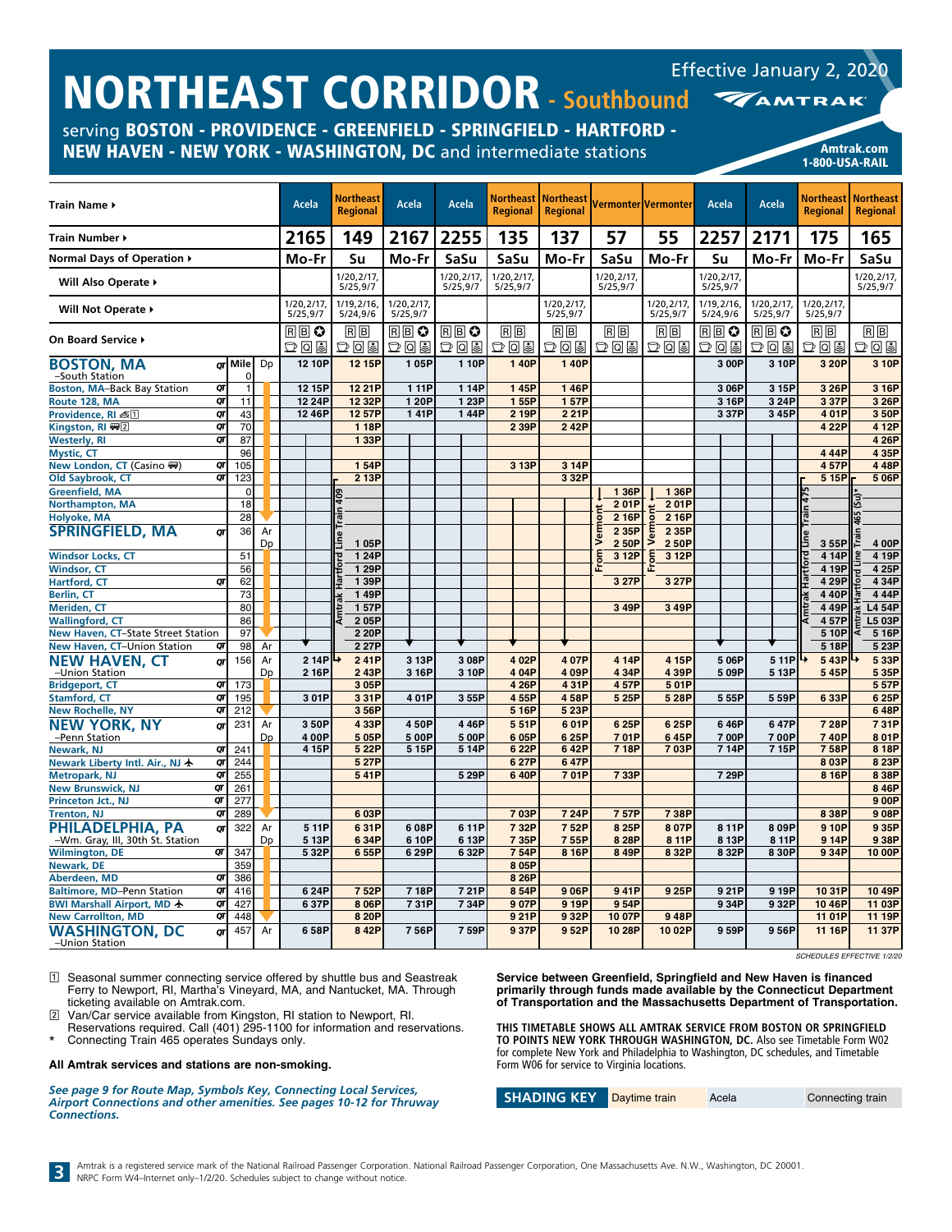| serving BOSTON - PROVIDENCE - GREENFIELD - SPRINGFIELD - HARTFORD -<br>NEW HAVEN - NEW YORK - WASHINGTON, DC and intermediate stations |          |                   |    |                        |        |                                     |                         |                        |                              |                              |                       |                       |                        |                        | 1-800-USA-RAIL        | <b>Amtrak.com</b>                               |
|----------------------------------------------------------------------------------------------------------------------------------------|----------|-------------------|----|------------------------|--------|-------------------------------------|-------------------------|------------------------|------------------------------|------------------------------|-----------------------|-----------------------|------------------------|------------------------|-----------------------|-------------------------------------------------|
| Train Name ▶                                                                                                                           |          |                   |    | Acela                  |        | <b>Northeast</b><br><b>Regional</b> | <b>Acela</b>            | Acela                  | Northeast<br><b>Regional</b> | <b>Northeast</b><br>Regional |                       | Vermonter Vermonter   | Acela                  | Acela                  | <b>Regional</b>       | <b>Northeast   Northeast</b><br><b>Regional</b> |
| Train Number ▶                                                                                                                         |          |                   |    | 2165                   |        | 149                                 | 2167                    | 2255                   | 135                          | 137                          | 57                    | 55                    | 2257                   | 2171                   | 175                   | 165                                             |
| Normal Days of Operation ▶                                                                                                             |          |                   |    | Mo-Fr                  |        | Su                                  | Mo-Fr                   | SaSu                   | SaSu                         | Mo-Fr                        | SaSu                  | Mo-Fr                 | Su                     | Mo-Fr                  | Mo-Fr                 | SaSu                                            |
| Will Also Operate >                                                                                                                    |          |                   |    |                        |        | 1/20,2/17,<br>5/25,9/7              |                         | 1/20,2/17,<br>5/25,9/7 | 1/20,2/17,<br>5/25,9/7       |                              | 1/20,2/17<br>5/25,9/7 |                       | 1/20,2/17<br>5/25,9/7  |                        |                       | 1/20,2/17,<br>5/25,9/7                          |
| <b>Will Not Operate ▶</b>                                                                                                              |          |                   |    | 1/20,2/17,<br>5/25,9/7 |        | 1/19,2/16,<br>5/24,9/6              | 1/20, 2/17,<br>5/25,9/7 |                        |                              | 1/20, 2/17,<br>5/25,9/7      |                       | 1/20,2/17<br>5/25,9/7 | 1/19,2/16,<br>5/24,9/6 | 1/20.2/17.<br>5/25,9/7 | 1/20,2/17<br>5/25,9/7 |                                                 |
| On Board Service ▶                                                                                                                     |          |                   |    | RB≎<br>$D$ Q &         |        | $B$ $B$<br>$D$ 0 9                  | RB♡<br>$D$ 0 9          | RB♡<br>D0I             | RB<br>つてき                    | $B$ $B$<br>つてる               | RB<br>D0E             | $B$ $B$<br>D05        | R®≎<br>D05             | RBO<br>D05             | $B$ $B$<br>D09        | $B$ $B$<br> D 0 9                               |
| BOSTON, MA                                                                                                                             |          | or Mile           | Dp |                        | 12 10P | 12 15P                              | 105P                    | 110P                   | 140P                         | 140P                         |                       |                       | 3 00P                  | 310P                   | 3 20P                 | 3 10P                                           |
| -South Station<br><b>Boston, MA-Back Bay Station</b>                                                                                   | QT       | 0<br>$\mathbf{1}$ |    |                        | 12 15P | 12 21P                              | 1 11P                   | 114P                   | 145P                         | 146P                         |                       |                       | 3 06P                  | 3 15P                  | 3 26P                 | 3 16P                                           |
| Route 128, MA                                                                                                                          | QT       | 11                |    |                        | 12 24P | 12 32P                              | 120P                    | 1 23P                  | 155P                         | 157P                         |                       |                       | 3 16P                  | 324P                   | 337P                  | 3 26P                                           |
| Providence, RI 毫円                                                                                                                      | QT       | 43                |    |                        | 1246P  | 1257P                               | 141P                    | 144P                   | 2 19P                        | 2 2 1 P                      |                       |                       | 337P                   | 345P                   | 401P                  | 3 50P                                           |
| Kingston, RI (무)                                                                                                                       | OΤ       | 70                |    |                        |        | 1 18P                               |                         |                        | 2 39P                        | 242P                         |                       |                       |                        |                        | 4 22P                 | 4 12P                                           |
| <b>Westerly, RI</b>                                                                                                                    | QT       | 87                |    |                        |        | 1 33P                               |                         |                        |                              |                              |                       |                       |                        |                        |                       | 4 26P                                           |
| <b>Mystic, CT</b>                                                                                                                      |          | 96                |    |                        |        |                                     |                         |                        |                              |                              |                       |                       |                        |                        | 444P                  | 4 35P                                           |
| New London, CT (Casino ()                                                                                                              | QT       | 105               |    |                        |        | 154P                                |                         |                        | 3 13P                        | 3 14P                        |                       |                       |                        |                        | 457P                  | 448P                                            |
| Old Saybrook, CT                                                                                                                       | QT       | 123               |    |                        |        | 2 13P                               |                         |                        |                              | 3 3 2 P                      |                       |                       |                        |                        | 515P                  | 5 06P                                           |
| Greenfield, MA                                                                                                                         |          | $\mathbf 0$       |    |                        |        |                                     |                         |                        |                              |                              | 1 36P                 | 1 36P                 |                        |                        |                       |                                                 |
| <b>Northampton, MA</b>                                                                                                                 |          | 18                |    |                        |        | gg                                  |                         |                        |                              |                              | 201P                  | 201P                  |                        |                        |                       |                                                 |
| Holyoke, MA                                                                                                                            |          | 28                |    |                        |        |                                     |                         |                        |                              |                              | 2 16P                 | 2 16P                 |                        |                        |                       |                                                 |
| <b>SPRINGFIELD, MA</b>                                                                                                                 | σr       | 36                | Ar |                        |        |                                     |                         |                        |                              |                              | 2 35P                 | 2 3 5 P               |                        |                        |                       |                                                 |
|                                                                                                                                        |          |                   | Dp |                        |        | 105P                                |                         |                        |                              |                              | 2 50P                 | 250P                  |                        |                        | 355P                  | 4 00P                                           |
| <b>Windsor Locks, CT</b>                                                                                                               |          | 51                |    |                        |        | 1 24P                               |                         |                        |                              |                              | 3 12P                 | 3 12P                 |                        |                        | 414P                  | 4 19P                                           |
| <b>Windsor, CT</b><br><b>Hartford, CT</b>                                                                                              | OΤ       | 56<br>62          |    |                        |        | 1 29P<br>1 39P                      |                         |                        |                              |                              | 3 27P                 | 3 27P                 |                        |                        | 4 19P<br>4 29P        | 4 25P<br>4 34P                                  |
|                                                                                                                                        |          | 73                |    |                        |        | 149P                                |                         |                        |                              |                              |                       |                       |                        |                        | 440P                  | 444P                                            |
| Berlin, CT                                                                                                                             |          | 80                |    |                        |        | 157P                                |                         |                        |                              |                              |                       |                       |                        |                        |                       |                                                 |
| Meriden, CT<br><b>Wallingford, CT</b>                                                                                                  |          |                   |    |                        |        |                                     |                         |                        |                              |                              | 3 49P                 | 349P                  |                        |                        | 449P<br>457P          | <b>L4 54P</b><br>L5 03P                         |
|                                                                                                                                        |          | 86<br>97          |    |                        |        | 205P                                |                         |                        |                              |                              |                       |                       |                        |                        |                       |                                                 |
| New Haven, CT-State Street Station                                                                                                     |          |                   |    |                        |        | 2 20P                               |                         |                        |                              |                              |                       |                       |                        |                        | 510P                  | 5 16P                                           |
| New Haven, CT-Union Station                                                                                                            | QT       | 98                | Ar |                        |        | 227P                                |                         |                        |                              |                              |                       |                       |                        |                        | 518P                  | 5 23P                                           |
| <b>NEW HAVEN, CT</b>                                                                                                                   | QT       | 156               | Ar |                        | 2 14P  | ↳<br>241P                           | 3 13P                   | 3 08P                  | 4 02P                        | 407P                         | 4 14P                 | 4 15P                 | 5 06P                  | 5 11P                  | 543P                  | 5 33P                                           |
| -Union Station                                                                                                                         |          |                   | Dp |                        | 2 16P  | 243P                                | 3 16P                   | 3 10P                  | 4 04P                        | 409P                         | 4 34P                 | 439P                  | 509P                   | 5 13P                  | 545P                  | 5 35P                                           |
| <b>Bridgeport, CT</b><br><b>Stamford, CT</b>                                                                                           | QΓ<br>QT | 173<br>195        |    |                        | 301P   | 3 05P<br>331P                       | 401P                    | 3 55P                  | 4 26P<br>455P                | 431P<br>458P                 | 457P<br>5 25P         | 501P<br>528P          | 555P                   | 559P                   | 633P                  | 557P<br>6 25P                                   |
| <b>New Rochelle, NY</b>                                                                                                                | QT       | 212               |    |                        |        | 356P                                |                         |                        | 5 16P                        | 5 23P                        |                       |                       |                        |                        |                       | 648P                                            |
| <b>NEW YORK, NY</b>                                                                                                                    |          | 231               | Ar |                        | 350P   | 4 33P                               | 450P                    | 446P                   | 551P                         | 601P                         | 6 25P                 | 625P                  | 646P                   | 647P                   | 728P                  | 731P                                            |
| -Penn Station                                                                                                                          | QΤ       |                   | Dp |                        | 400P   | 505P                                | 500P                    | 5 00P                  | 6 05P                        | 625P                         | 701P                  | 645P                  | 700P                   | 700P                   | 740P                  | 801P                                            |
| Newark, NJ                                                                                                                             | QT       | 241               |    |                        | 4 15P  | 5 22P                               | 5 15P                   | 514P                   | 6 22P                        | 642P                         | 7 18P                 | 703P                  | 714P                   | 715P                   | 758P                  | 8 18P                                           |
| Newark Liberty Intl. Air., NJ ★                                                                                                        | QT       | 244               |    |                        |        | 5 27P                               |                         |                        | 6 27P                        | 647P                         |                       |                       |                        |                        | 803P                  | 8 23P                                           |
| Metropark, NJ                                                                                                                          | QT       | 255               |    |                        |        | 541P                                |                         | 5 29P                  | 640P                         | 701P                         | 733P                  |                       | 7 29P                  |                        | 8 16P                 | 8 38P                                           |
| <b>New Brunswick, NJ</b>                                                                                                               | QT       | 261               |    |                        |        |                                     |                         |                        |                              |                              |                       |                       |                        |                        |                       | 8 46P                                           |
| Princeton Jct., NJ                                                                                                                     | QT       | 277               |    |                        |        |                                     |                         |                        |                              |                              |                       |                       |                        |                        |                       | 9 0 OP                                          |
| <b>Trenton, NJ</b>                                                                                                                     | QΤ       | 289               |    |                        |        | 603P                                |                         |                        | 703P                         | 724P                         | 757P                  | 738P                  |                        |                        | 838P                  | 908P                                            |
| PHILADELPHIA, PA                                                                                                                       | QΓ       | 322               | Ar |                        | 511P   | 631P                                | 608P                    | 611P                   | 732P                         | 752P                         | 8 25P                 | 807P                  | 811P                   | 809P                   | 910P                  | 935P                                            |
| -Wm. Gray, III, 30th St. Station                                                                                                       |          |                   | Dp |                        | 5 13P  | 6 34P                               | 6 10P                   | 613P                   | 735P                         | 755P                         | 8 28P                 | 8 11P                 | 8 13P                  | 8 11P                  | 914P                  | 938P                                            |
| <b>Wilmington, DE</b>                                                                                                                  | QΓ       | 347               |    |                        | 532P   | 655P                                | 629P                    | 632P                   | 754P                         | 8 16P                        | 8 49P                 | 8 3 2 P               | 8 32P                  | 830P                   | 934P                  | 10 00P                                          |
| Newark, DE                                                                                                                             |          | 359               |    |                        |        |                                     |                         |                        | 8 05P                        |                              |                       |                       |                        |                        |                       |                                                 |
| Aberdeen, MD                                                                                                                           | QT       | 386               |    |                        |        |                                     |                         |                        | 8 26P                        |                              |                       |                       |                        |                        |                       |                                                 |
| Baltimore, MD-Penn Station                                                                                                             | QT       | 416               |    |                        | 624P   | 752P                                | 718P                    | 721P                   | 854P                         | 906P                         | 941P                  | 925P                  | 921P                   | 9 19P                  | 1031P                 | 10 49P                                          |
| BWI Marshall Airport, MD 卡                                                                                                             | QΓ       | 427               |    |                        | 637P   | 8 06P                               | 731P                    | 734P                   | 907P                         | 919P                         | 954P                  |                       | 934P                   | 932P                   | 1046P                 | 11 03P                                          |
| <b>New Carrollton, MD</b>                                                                                                              | QT       | 448               |    |                        |        | 8 20P                               |                         |                        | 921P                         | 932P                         | 10 07P                | 948P                  |                        |                        | 11 01P                | 11 19P                                          |
| <b>WASHINGTON, DC</b>                                                                                                                  | QΓ       | 457               | Ar |                        | 658P   | 842P                                | 756P                    | 759P                   | 937P                         | 952P                         | 10 28P                | 1002P                 | 959P                   | 956P                   | 11 16P                | 11 37P                                          |
| -Union Station                                                                                                                         |          |                   |    |                        |        |                                     |                         |                        |                              |                              |                       |                       |                        |                        |                       |                                                 |

*SCHEDULES EFFECTIVE 1/2/20*

Effective January 2, 2020

1 Seasonal summer connecting service offered by shuttle bus and Seastreak Ferry to Newport, RI, Martha's Vineyard, MA, and Nantucket, MA. Through ticketing available on Amtrak.com.

**NORTHEAST CORRIDOR** 

2 Van/Car service available from Kingston, RI station to Newport, RI.

Reservations required. Call (401) 295-1100 for information and reservations. \* Connecting Train 465 operates Sundays only.

#### **All Amtrak services and stations are non-smoking.**

*See page 9 for Route Map, Symbols Key, Connecting Local Services, Airport Connections and other amenities. See pages 10-12 for Thruway Connections.*

**Service between Greenfield, Springfield and New Haven is financed primarily through funds made available by the Connecticut Department of Transportation and the Massachusetts Department of Transportation.**

**THIS TIMETABLE SHOWS ALL AMTRAK SERVICE FROM BOSTON OR SPRINGFIELD TO POINTS NEW YORK THROUGH WASHINGTON, DC.** Also see Timetable Form W02 for complete New York and Philadelphia to Washington, DC schedules, and Timetable Form W06 for service to Virginia locations.

**SHADING KEY** Daytime train Acela **Connecting train**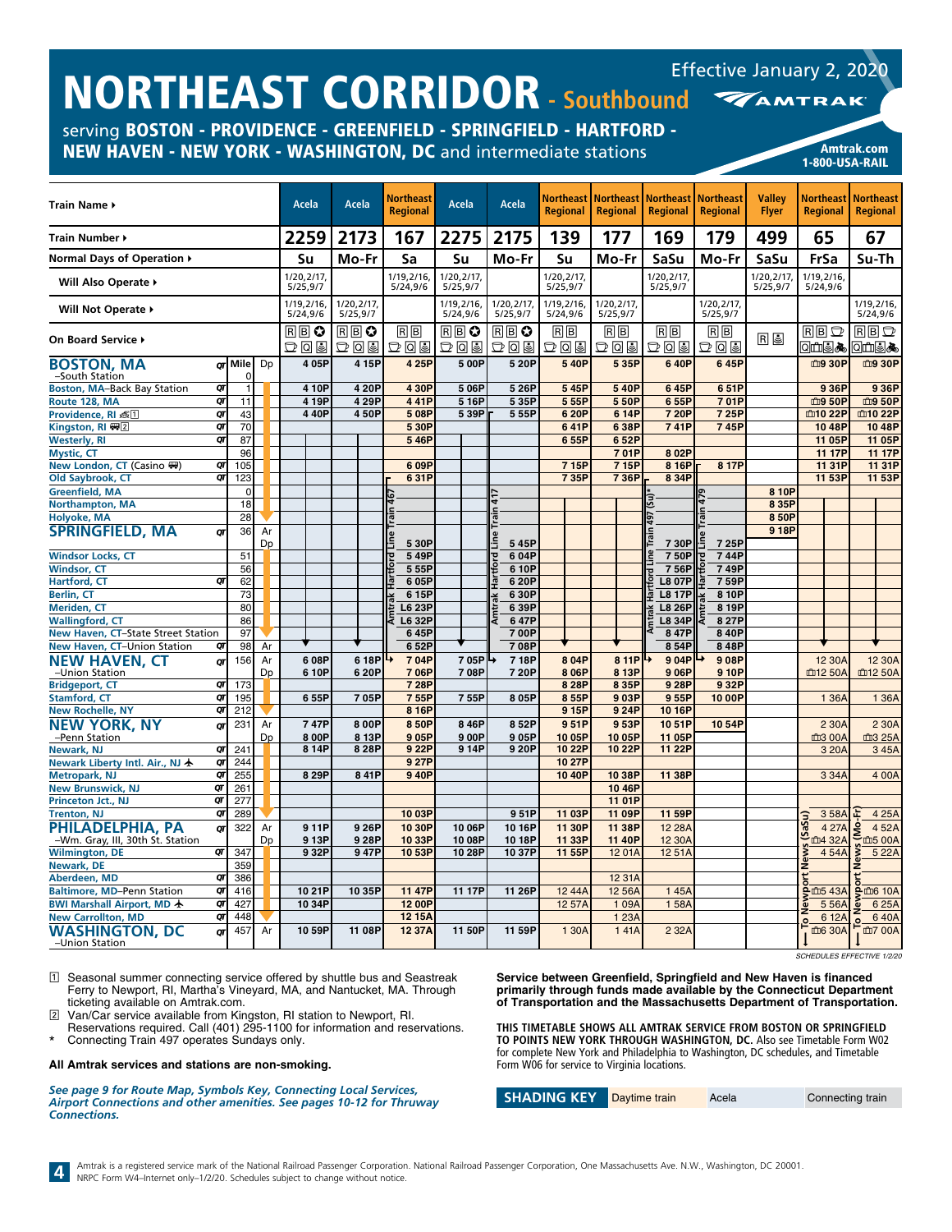| ITUITIEAJI TUINDUN SOUUDOUN<br>serving BOSTON - PROVIDENCE - GREENFIELD - SPRINGFIELD - HARTFORD -<br>NEW HAVEN - NEW YORK - WASHINGTON, DC and intermediate stations |          |              |    |                         |                  |                        |                              |                        |                                            |                                     |                                     |                                     |                                     |                               |                              | <b>Amtrak.com</b>                                                                         |
|-----------------------------------------------------------------------------------------------------------------------------------------------------------------------|----------|--------------|----|-------------------------|------------------|------------------------|------------------------------|------------------------|--------------------------------------------|-------------------------------------|-------------------------------------|-------------------------------------|-------------------------------------|-------------------------------|------------------------------|-------------------------------------------------------------------------------------------|
|                                                                                                                                                                       |          |              |    |                         |                  |                        |                              |                        |                                            |                                     |                                     |                                     |                                     |                               | 1-800-USA-RAIL               |                                                                                           |
| Train Name ▶                                                                                                                                                          |          |              |    | Acela                   |                  | Acela                  | Northeast<br><b>Regional</b> | Acela                  | Acela                                      | <b>Northeast</b><br><b>Regional</b> | <b>Northeast</b><br><b>Regional</b> | <b>Northeast</b><br><b>Regional</b> | <b>Northeast</b><br><b>Regional</b> | <b>Valley</b><br><b>Flyer</b> | Northeast<br><b>Regional</b> | <b>Northeast</b><br><b>Regional</b>                                                       |
| Train Number ▶                                                                                                                                                        |          |              |    | 2259                    |                  | 2173                   | 167                          | 2275                   | 2175                                       | 139                                 | 177                                 | 169                                 | 179                                 | 499                           | 65                           | 67                                                                                        |
| Normal Days of Operation ▶                                                                                                                                            |          |              |    | Su                      |                  | Mo-Fr                  | Sa                           | Su                     | Mo-Fr                                      | Su                                  | Mo-Fr                               | SaSu                                | Mo-Fr                               | SaSu                          | FrSa                         | Su-Th                                                                                     |
| Will Also Operate ▶                                                                                                                                                   |          |              |    | 1/20,2/17,<br>5/25,9/7  |                  |                        | 1/19,2/16,<br>5/24,9/6       | 1/20,2/17,<br>5/25,9/7 |                                            | 1/20, 2/17,<br>5/25,9/7             |                                     | 1/20,2/17,<br>5/25,9/7              |                                     | 1/20,2/17,<br>5/25,9/7        | 1/19.2/16.<br>5/24,9/6       |                                                                                           |
| Will Not Operate ▶                                                                                                                                                    |          |              |    | 1/19, 2/16,<br>5/24,9/6 |                  | 1/20,2/17,<br>5/25,9/7 |                              | 1/19,2/16,<br>5/24,9/6 | 1/20.2/17.<br>5/25,9/7                     | 1/19,2/16,<br>5/24,9/6              | 1/20,2/17,<br>5/25,9/7              |                                     | 1/20, 2/17<br>5/25,9/7              |                               |                              | 1/19,2/16<br>5/24,9/6                                                                     |
| On Board Service ▶                                                                                                                                                    |          |              |    | RBC<br>つてき              |                  | RBC<br>$D$ Q $E$       | $R$ $B$<br>あてす               | RB♡<br>D0I             | $\overline{\mathbb{B}}\mathbb{B}$ 0<br>つてる | RB<br>あてす                           | $R$ $B$<br>あてす                      | $R$ $B$<br>あてす                      | $R$ $B$<br>あてす                      | <b>Re</b>                     | $R$ $B$ $D$<br>◙₫₫₩          | RBD<br><b>OLLS&amp;</b>                                                                   |
| <b>BOSTON, MA</b><br>-South Station                                                                                                                                   |          | or Mile<br>0 | Dp |                         | 405P             | 4 15P                  | 4 25P                        | 5 00P                  | 5 20P                                      | 540P                                | 535P                                | 640P                                | 645P                                |                               | 血9 30P                       | 血9 30P                                                                                    |
| <b>Boston, MA-Back Bay Station</b>                                                                                                                                    | QT       |              |    |                         | 4 10P            | 4 20P                  | 4 30P                        | 506P                   | 5 26P                                      | 545P                                | 540P                                | 645P                                | 651P                                |                               | 936P                         | 936P                                                                                      |
| Route 128, MA                                                                                                                                                         | QT       | 11           |    |                         | 4 19P            | 4 29P                  | 441P                         | 516P                   | 535P                                       | 5 55P                               | 550P                                | 655P                                | 701P                                |                               | 血9 50P                       | 血9 50P                                                                                    |
| Providence, RI 离团                                                                                                                                                     | QΓ<br>QT | 43           |    |                         | 440P             | 450P                   | 508P                         | 5 39P                  | 555P                                       | 620P                                | 6 14P                               | 7 20P                               | 725P                                |                               | 血10 22P                      | 血10 22P                                                                                   |
| Kingston, RI ₩2<br><b>Westerly, RI</b>                                                                                                                                | QΓ       | 70<br>87     |    |                         |                  |                        | 5 30P<br>546P                |                        |                                            | 641P<br>655P                        | 638P<br>652P                        | 741P                                | 745P                                |                               | 1048P<br>11 05P              | 10 48P<br>11 05P                                                                          |
| <b>Mystic, CT</b>                                                                                                                                                     |          | 96           |    |                         |                  |                        |                              |                        |                                            |                                     | 701P                                | 8 02P                               |                                     |                               | 11 17P                       | 11 17P                                                                                    |
| New London, CT (Casino ()                                                                                                                                             | QΓ       | 105          |    |                         |                  |                        | 609P                         |                        |                                            | 715P                                | 715P                                | 8 16P                               | 8 17P                               |                               | 11 31P                       | 11 31P                                                                                    |
| Old Saybrook, CT                                                                                                                                                      | QT       | 123          |    |                         |                  |                        | 631P                         |                        |                                            | 735P                                | 736P                                | 8 34P                               |                                     |                               | 11 53P                       | 11 53P                                                                                    |
| Greenfield, MA                                                                                                                                                        |          | 0            |    |                         |                  |                        |                              |                        |                                            |                                     |                                     |                                     |                                     | 8 10P                         |                              |                                                                                           |
| <b>Northampton, MA</b>                                                                                                                                                |          | 18           |    |                         |                  |                        |                              |                        |                                            |                                     |                                     |                                     |                                     | 8 35P                         |                              |                                                                                           |
| Holyoke, MA                                                                                                                                                           |          | 28           |    |                         |                  |                        |                              |                        |                                            |                                     |                                     |                                     |                                     | 850P                          |                              |                                                                                           |
| <b>SPRINGFIELD, MA</b>                                                                                                                                                | OΤ       | 36           | Ar |                         |                  |                        |                              |                        |                                            |                                     |                                     |                                     |                                     | 918P                          |                              |                                                                                           |
|                                                                                                                                                                       |          |              | Dp |                         |                  |                        | 5 30P                        |                        | 545P                                       |                                     |                                     | 730P                                | 725P                                |                               |                              |                                                                                           |
| <b>Windsor Locks, CT</b>                                                                                                                                              |          | 51           |    |                         |                  |                        | 549P                         |                        | 604P                                       |                                     |                                     | 750P                                | 744P                                |                               |                              |                                                                                           |
| <b>Windsor, CT</b>                                                                                                                                                    |          | 56           |    |                         |                  |                        | 555P                         |                        | 6 10P                                      |                                     |                                     | 756P                                | 749P                                |                               |                              |                                                                                           |
| Hartford, CT                                                                                                                                                          | QΓ       | 62<br>73     |    |                         |                  |                        | 6 05P<br>6 15P               |                        | 6 20P<br>630P                              |                                     |                                     | <b>L8 07P</b><br><b>L8 17P</b>      | 759P<br>8 10P                       |                               |                              |                                                                                           |
| Berlin, CT<br>Meriden, CT                                                                                                                                             |          | 80           |    |                         |                  |                        | L6 23P                       |                        | 639P                                       |                                     |                                     | <b>L8 26P</b>                       | 819P                                |                               |                              |                                                                                           |
| <b>Wallingford, CT</b>                                                                                                                                                |          | 86           |    |                         |                  |                        | L6 32P                       |                        | 647P                                       |                                     |                                     | L8 34P                              | 8 27P                               |                               |                              |                                                                                           |
| New Haven, CT-State Street Station                                                                                                                                    |          | 97           |    |                         |                  |                        | 645P                         |                        | 700P                                       |                                     |                                     | 847P                                | 840P                                |                               |                              |                                                                                           |
| New Haven, CT-Union Station                                                                                                                                           | QΤ       | 98           | Ar |                         |                  |                        | 6 52P                        |                        | 708P                                       |                                     |                                     | 854P                                | 848P                                |                               |                              |                                                                                           |
| <b>NEW HAVEN, CT</b>                                                                                                                                                  | QΤ       | 156          | Ar |                         | 608P             | 6 18P                  | 704P                         | 7 05PI →               | 718P                                       | 8 04P                               | 8 11P                               | 904P                                | 908P                                |                               | 12 30A                       | 12 30A                                                                                    |
| -Union Station                                                                                                                                                        |          |              | Dp |                         | 6 10P            | 6 20P                  | 706P                         | 708P                   | 7 20P                                      | 8 06P                               | 813P                                | 906P                                | 910P                                |                               | 血12 50A                      | 血12 50A                                                                                   |
| <b>Bridgeport, CT</b>                                                                                                                                                 | QΓ       | 173          |    |                         |                  |                        | 7 28P                        |                        |                                            | 8 28P                               | 8 35P                               | 9 28P                               | 932P                                |                               |                              |                                                                                           |
| <b>Stamford, CT</b>                                                                                                                                                   | QT       | 195          |    |                         | 655P             | 705P                   | 7 55P                        | 755P                   | 805P                                       | 855P                                | 903P                                | 955P                                | 10 00P                              |                               | 1 36A                        | 1 36A                                                                                     |
| <b>New Rochelle, NY</b>                                                                                                                                               | QT       | 212          |    |                         |                  |                        | 8 16P                        |                        |                                            | 915P                                | 924P                                | 10 16P                              |                                     |                               |                              |                                                                                           |
| NEW YORK, NY                                                                                                                                                          | QΤ       | 231          | Ar |                         | 747P             | 800P                   | 8 50P                        | 846P                   | 852P                                       | 951P                                | 953P                                | 1051P                               | 1054P                               |                               | 2 30A                        | 2 30A                                                                                     |
| -Penn Station<br>Newark, NJ                                                                                                                                           | QT       | 241          | Dp |                         | 8 00P<br>8 14P   | 8 13P<br>828P          | 905P<br>9 22P                | 9 00P<br>914P          | 905P<br>920P                               | 10 05P<br>10 22P                    | 1005P<br>10 22P                     | 11 05P<br>11 22P                    |                                     |                               | <b>血3 00A</b><br>3 20A       | 血3 25A<br>345A                                                                            |
| Newark Liberty Intl. Air., NJ 卡                                                                                                                                       | Qī       | 244          |    |                         |                  |                        | 9 27P                        |                        |                                            | 10 27P                              |                                     |                                     |                                     |                               |                              |                                                                                           |
| Metropark, NJ                                                                                                                                                         | QT       | 255          |    |                         | 8 29P            | 841P                   | 9 40P                        |                        |                                            | 10 40P                              | 10 38P                              | 11 38P                              |                                     |                               | 334A                         | 4 00A                                                                                     |
| <b>New Brunswick, NJ</b>                                                                                                                                              | QT       | 261          |    |                         |                  |                        |                              |                        |                                            |                                     | 10 46P                              |                                     |                                     |                               |                              |                                                                                           |
| Princeton Jct., NJ                                                                                                                                                    | Qſ       | 211          |    |                         |                  |                        |                              |                        |                                            |                                     | 11 01P                              |                                     |                                     |                               |                              |                                                                                           |
| <b>Trenton, NJ</b>                                                                                                                                                    | QT       | 289          |    |                         |                  |                        | 10 03P                       |                        | 951P                                       | 11 03P                              | 11 09P                              | 11 59P                              |                                     |                               | 358A                         | E<br>4 25A                                                                                |
| PHILADELPHIA, PA                                                                                                                                                      | QΓ       | 322          | Ar |                         | 911P             | 926P                   | 10 30P                       | 10 06P                 | 1016P                                      | 11 30P                              | 11 38P                              | 12 28 A                             |                                     |                               | rt News (SaSu)               | $\frac{4\,27A}{\frac{\text{cm}}{9}\times\frac{\text{cm}}{2}}$ $\frac{6\,160A}{\text{cm}}$ |
| -Wm. Gray, III, 30th St. Station                                                                                                                                      |          |              | Dp |                         | 913P             | 9 28P                  | 10 33P                       | 10 08P                 | 1018P                                      | 11 33P                              | 11 40P                              | 12 30A                              |                                     |                               |                              |                                                                                           |
| <b>Wilmington, DE</b>                                                                                                                                                 | QΓ       | 347          |    |                         | 9 32P            | 947P                   | 1053P                        | 10 28P                 | 1037P                                      | 11 55P                              | 1201A                               | 1251A                               |                                     |                               | 454A                         | 5 2 2 A                                                                                   |
| Newark, DE                                                                                                                                                            |          | 359          |    |                         |                  |                        |                              |                        |                                            |                                     |                                     |                                     |                                     |                               |                              |                                                                                           |
| Aberdeen, MD<br><b>Baltimore, MD-Penn Station</b>                                                                                                                     | QΓ       | 386          |    |                         |                  |                        |                              |                        |                                            |                                     | 12 31A                              |                                     |                                     |                               |                              | 8 m5 43A 9 m6 10A                                                                         |
| BWI Marshall Airport, MD $\bigstar$                                                                                                                                   | QT<br>QΓ | 416<br>427   |    |                         | 10 21P<br>10 34P | 10 35P                 | 11 47P<br>12 00P             | 11 17P                 | 11 26P                                     | 12 44A<br>12 57A                    | 12 56A<br>109A                      | 145A<br>158A                        |                                     |                               | $556A$ $\overline{6}$        | 625A                                                                                      |
| <b>New Carrollton, MD</b>                                                                                                                                             | QT       | 448          |    |                         |                  |                        | 12 15A                       |                        |                                            |                                     | 1 2 3 A                             |                                     |                                     |                               | 6 12A                        | 640A                                                                                      |
| <b>WASHINGTON, DC</b>                                                                                                                                                 | QΤ       | 457          | Ar |                         | 10 59P           | 11 08P                 | 12 37A                       | 11 50P                 | 11 59P                                     | 1 30A                               | 141A                                | 2 3 2 A                             |                                     |                               | $\mathbf{O}$<br>血6 30A       | $\overline{\mathbf{O}}$<br><b>广</b> 面7 00A                                                |
| -Union Station                                                                                                                                                        |          |              |    |                         |                  |                        |                              |                        |                                            |                                     |                                     |                                     |                                     |                               |                              |                                                                                           |

*SCHEDULES EFFECTIVE 1/2/20*

Effective January 2, 2020

1 Seasonal summer connecting service offered by shuttle bus and Seastreak Ferry to Newport, RI, Martha's Vineyard, MA, and Nantucket, MA. Through ticketing available on Amtrak.com.

2 Van/Car service available from Kingston, RI station to Newport, RI.

Reservations required. Call (401) 295-1100 for information and reservations. \* Connecting Train 497 operates Sundays only.

#### **All Amtrak services and stations are non-smoking.**

*See page 9 for Route Map, Symbols Key, Connecting Local Services, Airport Connections and other amenities. See pages 10-12 for Thruway Connections.*

**Service between Greenfield, Springfield and New Haven is financed primarily through funds made available by the Connecticut Department of Transportation and the Massachusetts Department of Transportation.**

**THIS TIMETABLE SHOWS ALL AMTRAK SERVICE FROM BOSTON OR SPRINGFIELD TO POINTS NEW YORK THROUGH WASHINGTON, DC.** Also see Timetable Form W02 for complete New York and Philadelphia to Washington, DC schedules, and Timetable Form W06 for service to Virginia locations.

**SHADING KEY** Daytime train Acela **Connecting train**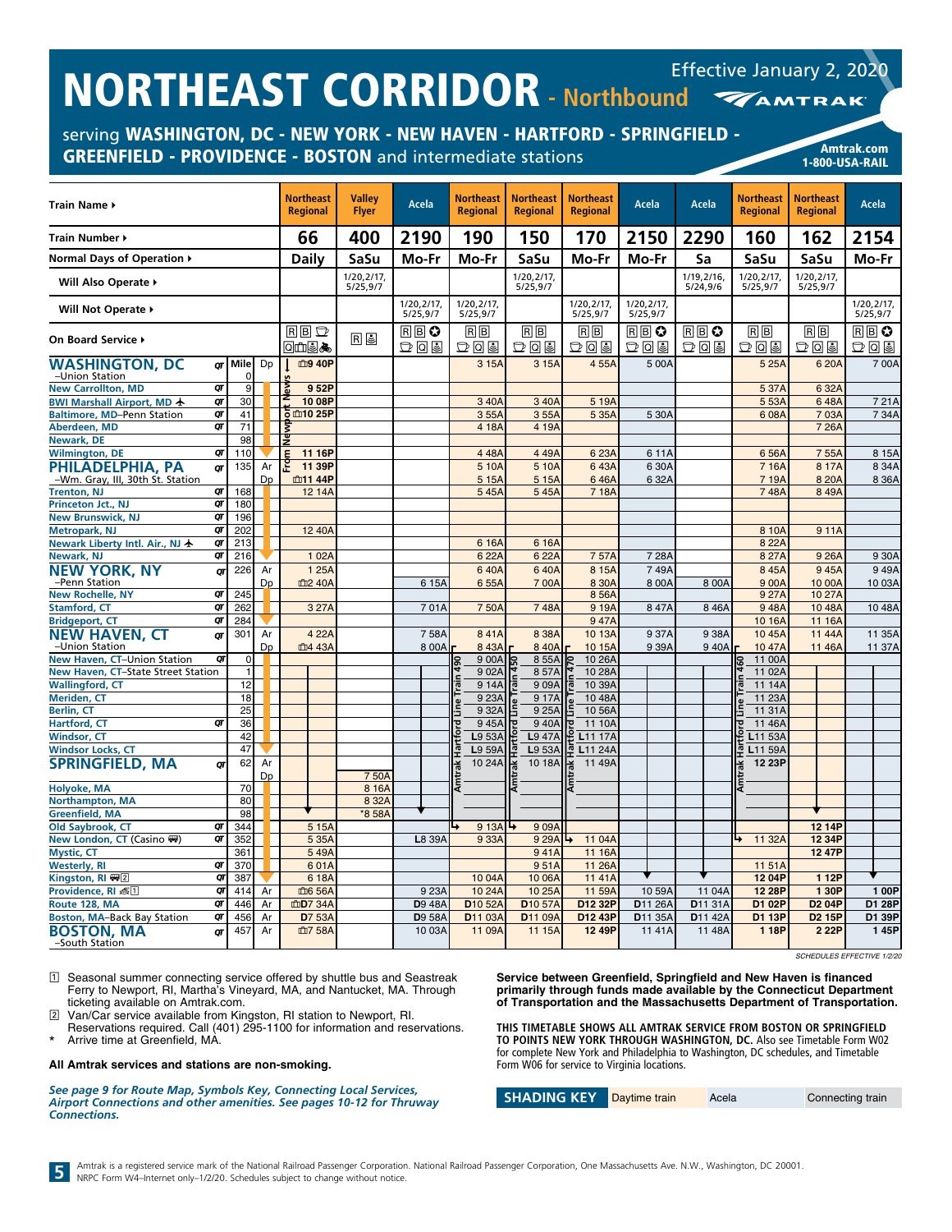serving WASHINGTON, DC - NEW YORK - NEW HAVEN - HARTFORD - SPRINGFIELD - GREENFIELD - PROVIDENCE - BOSTON and intermediate stations American Changes and Amtrak.com

1-800-USA-RAIL

|                                          |          |           |           | <b>Northeast</b>    | <b>Valley</b>          |                        | <b>Northeast</b>            | <b>Northeast</b>       | <b>Northeast</b>       |                       |                        | <b>Northeast</b>      | <b>Northeast</b>       |                        |
|------------------------------------------|----------|-----------|-----------|---------------------|------------------------|------------------------|-----------------------------|------------------------|------------------------|-----------------------|------------------------|-----------------------|------------------------|------------------------|
| <b>Train Name ▶</b>                      |          |           |           | <b>Regional</b>     | <b>Flyer</b>           | <b>Acela</b>           | <b>Regional</b>             | Regional               | <b>Regional</b>        | Acela                 | <b>Acela</b>           | <b>Regional</b>       | <b>Regional</b>        | <b>Acela</b>           |
| Train Number ▶                           |          |           |           | 66                  | 400                    | 2190                   | 190                         | 150                    | 170                    | 2150                  | 2290                   | 160                   | 162                    | 2154                   |
| Normal Days of Operation ▶               |          |           |           | Dailv               | SaSu                   | Mo-Fr                  | Mo-Fr                       | SaSu                   | Mo-Fr                  | Mo-Fr                 | Sa                     | SaSu                  | SaSu                   | Mo-Fr                  |
| Will Also Operate ▶                      |          |           |           |                     | 1/20,2/17,<br>5/25,9/7 |                        |                             | 1/20,2/17,<br>5/25,9/7 |                        |                       | 1/19,2/16,<br>5/24,9/6 | 1/20,2/17<br>5/25,9/7 | 1/20,2/17,<br>5/25,9/7 |                        |
| Will Not Operate ▶                       |          |           |           |                     |                        | 1/20,2/17,<br>5/25,9/7 | 1/20,2/17,<br>5/25,9/7      |                        | 1/20,2/17,<br>5/25,9/7 | 1/20,2/17<br>5/25,9/7 |                        |                       |                        | 1/20,2/17,<br>5/25,9/7 |
| On Board Service ▶                       |          |           |           | $R$ $B$ $D$<br>ા⊞⊌⊁ | r 5                    | RBO<br>DQ              | RB<br>그 미리                  | $B$ $B$<br>그 미리        | RB<br>그미리              | RB≎<br>つしっ            | RBO<br>그미티             | $R$ $B$<br>그미리        | $R \mid B$<br>つてき      | RΒO<br>그 미리            |
| <b>WASHINGTON, DC</b><br>-Union Station  | σг       | Mile<br>ŋ | Dp        | 血9 40P              |                        |                        | 3 15A                       | 3 15A                  | 455A                   | 5 00A                 |                        | 5 25A                 | 6 20A                  | 700A                   |
| <b>New Carrollton, MD</b>                | QT       | 9         |           | 952P                |                        |                        |                             |                        |                        |                       |                        | 5 37A                 | 6 32A                  |                        |
| BWI Marshall Airport, MD +               | QT       | 30        |           | 10 08P              |                        |                        | 340A                        | 3 40A                  | 5 19A                  |                       |                        | 5 53A                 | 648A                   | 721A                   |
| <b>Baltimore, MD-Penn Station</b>        | QT<br>QT | 41        |           | <b>ō យា10 25P</b>   |                        |                        | 355A                        | 355A                   | 5 35A                  | 5 30A                 |                        | 6 08A                 | 7 03A                  | 7 34A                  |
| Aberdeen, MD<br>Newark, DE               |          | 71<br>98  |           | ã                   |                        |                        | 4 18A                       | 4 19A                  |                        |                       |                        |                       | 7 26A                  |                        |
| <b>Wilmington, DE</b>                    | QT       | 110       |           | 11 16P              |                        |                        | 448A                        | 449A                   | 623A                   | 611A                  |                        | 6 56A                 | 7 55A                  | 8 15A                  |
| PHILADELPHIA, PA                         | σг       | 135       | Ar        | 11 39P              |                        |                        | 5 10A                       | 5 10A                  | 643A                   | 6 30A                 |                        | 7 16A                 | 8 17A                  | 8 34A                  |
| -Wm. Gray, III, 30th St. Station         |          |           | Dp        | 血11 44P             |                        |                        | 5 1 5 A                     | 5 1 5 A                | 646A                   | 632A                  |                        | 7 19A                 | 8 20 A                 | 8 36A                  |
| <b>Trenton, NJ</b>                       | QT       | 168       |           | 12 14A              |                        |                        | 545A                        | 545A                   | 7 18A                  |                       |                        | 748A                  | 8 49A                  |                        |
| Princeton Jct., NJ                       | QΤ       | 180       |           |                     |                        |                        |                             |                        |                        |                       |                        |                       |                        |                        |
| <b>New Brunswick, NJ</b>                 | QT       | 196       |           |                     |                        |                        |                             |                        |                        |                       |                        |                       |                        |                        |
| <b>Metropark, NJ</b>                     | QT       | 202       |           | 12 40A              |                        |                        |                             |                        |                        |                       |                        | 8 10A                 | 9 11A                  |                        |
| Newark Liberty Intl. Air., NJ ★          | QT       | 213       |           |                     |                        |                        | 616A                        | 6 16A                  |                        |                       |                        | 8 22A                 |                        |                        |
| Newark, NJ                               | QT       | 216       |           | 1 02A               |                        |                        | 622A                        | 622A                   | 757A                   | 7 28A                 |                        | 8 27 A                | 9 26A                  | 9 30A                  |
| <b>NEW YORK, NY</b>                      | QΓ       | 226       | Ar        | 1 25A               |                        |                        | 640A                        | 640A                   | 8 15A                  | 749A                  |                        | 8 45A                 | 945A                   | 949A                   |
| -Penn Station<br><b>New Rochelle, NY</b> | QT       | 245       | Dp        | 血2 40A              |                        | 6 15A                  | 655A                        | 700A                   | 8 30A<br>856A          | 8 00A                 | 8 00A                  | 9 00A<br>9 27A        | 10 00A<br>10 27A       | 10 03A                 |
| <b>Stamford, CT</b>                      | QT       | 262       |           | 3 27A               |                        | 701A                   | 750A                        | 748A                   | 919A                   | 847A                  | 8 4 6 A                | 948A                  | 10 48A                 | 10 48A                 |
| <b>Bridgeport, CT</b>                    | QT       | 284       |           |                     |                        |                        |                             |                        | 947A                   |                       |                        | 10 16A                | 11 16A                 |                        |
| <b>NEW HAVEN, CT</b>                     | QΓ       | 301       | Ar        | 4 22A               |                        | 758A                   | 841A                        | 8 38A                  | 10 13A                 | 9 37A                 | 9 38A                  | 10 45A                | 11 44A                 | 11 35A                 |
| -Union Station                           |          |           | <b>Dp</b> | 血4 43A              |                        | 8 00A                  | 843A                        | 840A                   | 10 15A                 | 939A                  | 940A                   | 10 47A                | 11 46A                 | 11 37A                 |
| New Haven, CT-Union Station              | QT       | 0         |           |                     |                        |                        | 900A                        | 855A                   | 10 26A                 |                       |                        | 11 00A                |                        |                        |
| New Haven, CT-State Street Station       |          | 1         |           |                     |                        |                        | 902A                        | 857A                   | 10 28A                 |                       |                        | 11 02A                |                        |                        |
| <b>Wallingford, CT</b>                   |          | 12        |           |                     |                        |                        | 914A                        | 909A                   | 10 39A<br>ē            |                       |                        | 11 14A                |                        |                        |
| <b>Meriden, CT</b>                       |          | 18        |           |                     |                        |                        | 9 23A                       | 917A                   | 10 48A                 |                       |                        | 11 23A                |                        |                        |
| <b>Berlin, CT</b>                        |          | 25        |           |                     |                        |                        | 9 32A                       | 9 25A                  | 10 56A                 |                       |                        | 11 31A                |                        |                        |
| <b>Hartford, CT</b>                      | QΤ       | 36        |           |                     |                        |                        | 945A                        | 940A                   | 11 10A                 |                       |                        | 11 46A<br>ļō          |                        |                        |
| <b>Windsor, CT</b>                       |          | 42        |           |                     |                        |                        | L9 53A                      | L947A                  | L11 17A                |                       |                        | L11 53A               |                        |                        |
| <b>Windsor Locks, CT</b>                 |          | 47        |           |                     |                        |                        | L9 59A                      | L9 53A                 | L11 24A<br>嘷           |                       |                        | L11 59A               |                        |                        |
| <b>SPRINGFIELD, MA</b>                   | σг       | 62        | Ar        |                     |                        |                        | 10 24A                      | 10 18A                 | 11 49A                 |                       |                        | 12 23P                |                        |                        |
| Holyoke, MA                              |          | 70        | Dp        |                     | 750A<br>8 16A          |                        |                             |                        |                        |                       |                        |                       |                        |                        |
| Northampton, MA                          |          | 80        |           |                     | 8 32A                  |                        |                             |                        |                        |                       |                        |                       |                        |                        |
| <b>Greenfield, MA</b>                    |          | 98        |           |                     | *8 58A                 |                        |                             |                        |                        |                       |                        |                       |                        |                        |
| Old Saybrook, CT                         | QT       | 344       |           | 5 15A               |                        |                        | 9 13A $\blacktriangleright$ | 909A                   |                        |                       |                        |                       | 12 14P                 |                        |
| New London, CT (Casino ()                | QT       | 352       |           | 5 35A               |                        | L8 39A                 | 9 33A                       | 9 29A                  | ↳<br>11 04A            |                       |                        | 11 32A                | 12 34P                 |                        |
| <b>Mystic, CT</b>                        |          | 361       |           | 549A                |                        |                        |                             | 941A                   | 11 16A                 |                       |                        |                       | 12 47P                 |                        |
| <b>Westerly, RI</b>                      | QT       | 370       |           | 601A                |                        |                        |                             | 951A                   | 11 26A                 |                       |                        | 11 51A                |                        |                        |
| Kingston, RI (四)                         | QT       | 387       |           | 618A                |                        |                        | 1004A                       | 10 06A                 | 11 41A                 |                       |                        | 12 04P                | 1 1 2 P                |                        |
| Providence, RI 离1                        | QT       | 414       | Ar        | 血6 56A              |                        | 9 23A                  | 10 24A                      | 10 25A                 | 11 59A                 | 10 59A                | 11 04A                 | 12 28P                | 1 30P                  | 1 00P                  |
| Route 128, MA                            | QT       | 446       | Ar        | 血D7 34A             |                        | <b>D</b> 9 48A         | D <sub>10</sub> 52A         | D <sub>10</sub> 57A    | D12 32P                | D <sub>11</sub> 26A   | D11 31A                | D1 02P                | D <sub>2</sub> 04P     | D1 28P                 |
| <b>Boston, MA-Back Bay Station</b>       | QT       | 456       | Ar        | D7 53A              |                        | <b>D</b> 9 58A         | D11 03A                     | D11 09A                | D12 43P                | D11 35A               | D11 42A                | D1 13P                | <b>D2 15P</b>          | D1 39P                 |
| <b>BOSTON, MA</b><br>-South Station      | QT       | 457       | Ar        | 血7 58A              |                        | 1003A                  | 11 09A                      | 11 15A                 | 12 49P                 | 1141A                 | 11 48A                 | 1 18P                 | 2 2 2 P                | 145P                   |

1 Seasonal summer connecting service offered by shuttle bus and Seastreak Ferry to Newport, RI, Martha's Vineyard, MA, and Nantucket, MA. Through ticketing available on Amtrak.com.

2 Van/Car service available from Kingston, RI station to Newport, RI.

Reservations required. Call (401) 295-1100 for information and reservations. Arrive time at Greenfield, MA.

#### **All Amtrak services and stations are non-smoking.**

*See page 9 for Route Map, Symbols Key, Connecting Local Services, Airport Connections and other amenities. See pages 10-12 for Thruway Connections.*

*SCHEDULES EFFECTIVE 1/2/20*

**Service between Greenfield, Springfield and New Haven is financed primarily through funds made available by the Connecticut Department of Transportation and the Massachusetts Department of Transportation.**

**THIS TIMETABLE SHOWS ALL AMTRAK SERVICE FROM BOSTON OR SPRINGFIELD TO POINTS NEW YORK THROUGH WASHINGTON, DC.** Also see Timetable Form W02 for complete New York and Philadelphia to Washington, DC schedules, and Timetable Form W06 for service to Virginia locations.

**SHADING KEY** Daytime train Acela Connecting train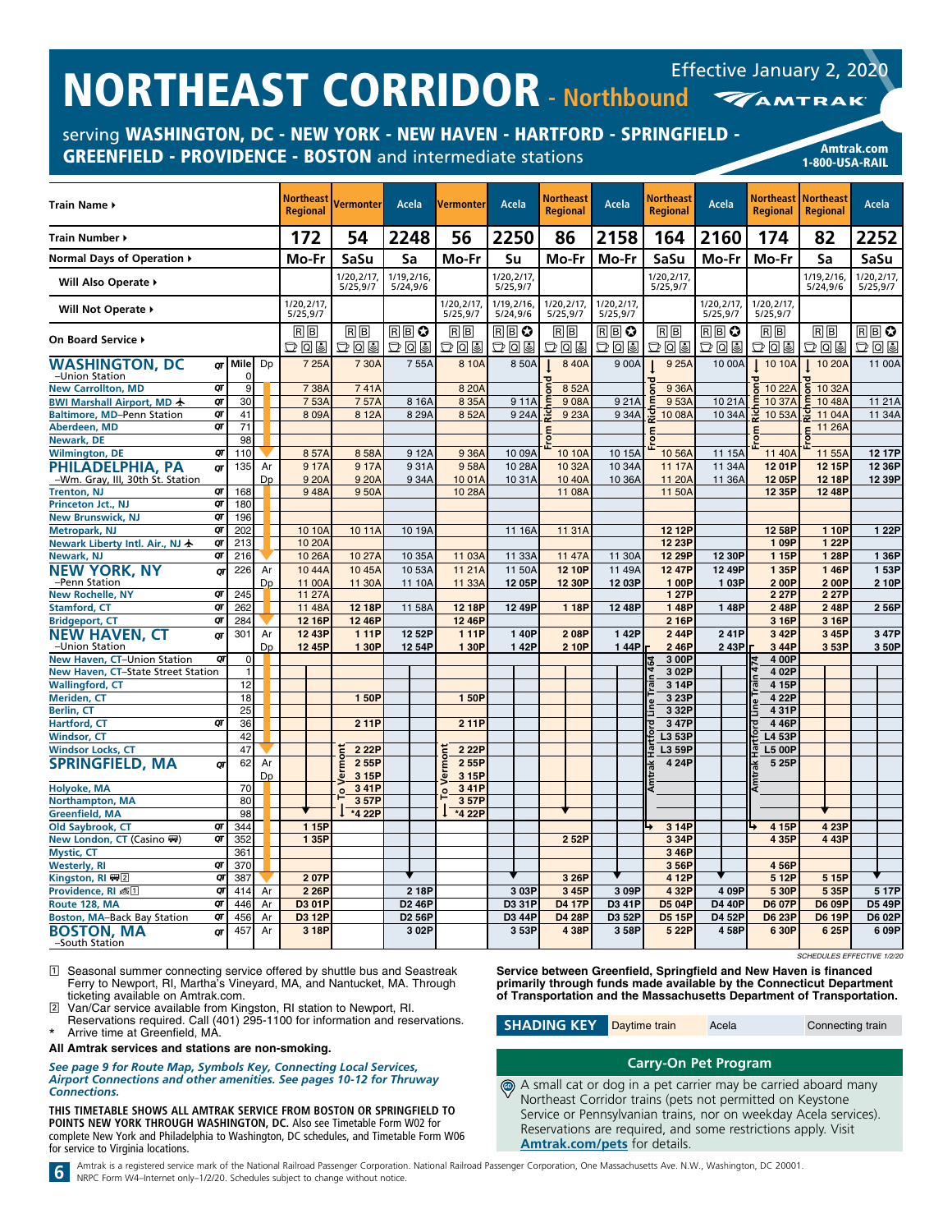serving WASHINGTON, DC - NEW YORK - NEW HAVEN - HARTFORD - SPRINGFIELD - GREENFIELD - PROVIDENCE - BOSTON and intermediate stations

|  | Amtrak.com     |  |
|--|----------------|--|
|  | 1-800-USA-RAIL |  |

| <b>Train Name ▶</b>                                    |          |           |          | <b>Northeast</b><br><b>Regional</b> | Vermonterl            | Acela                                  |       | Vermonter                                           | Acela                   | Northeast<br><b>Regional</b> | Acela                  | Northeast<br><b>Regional</b> | Acela                  | <b>Regional</b>             | Northeast   Northeast<br><b>Regional</b> | Acela                  |               |
|--------------------------------------------------------|----------|-----------|----------|-------------------------------------|-----------------------|----------------------------------------|-------|-----------------------------------------------------|-------------------------|------------------------------|------------------------|------------------------------|------------------------|-----------------------------|------------------------------------------|------------------------|---------------|
| Train Number ▶                                         |          |           |          | 172                                 | 54                    | 2248                                   |       | 56                                                  | 2250                    | 86                           | 2158                   | 164                          | 2160                   | 174                         | 82                                       | 2252                   |               |
| Normal Days of Operation ▶                             |          |           |          | Mo-Fr                               | SaSu                  | Sa                                     |       | Mo-Fr                                               | Su                      | Mo-Fr                        | Mo-Fr                  | SaSu                         | Mo-Fr                  | Mo-Fr                       | Sa                                       | SaSu                   |               |
| Will Also Operate ▶                                    |          |           |          |                                     | 1/20,2/17<br>5/25,9/7 | 1/19,2/16,<br>5/24,9/6                 |       |                                                     | 1/20, 2/17,<br>5/25,9/7 |                              |                        | 1/20,2/17<br>5/25,9/7        |                        |                             | 1/19,2/16,<br>5/24,9/6                   | 1/20,2/17,<br>5/25,9/7 |               |
| Will Not Operate ▶                                     |          |           |          | 1/20.2/17.<br>5/25,9/7              |                       |                                        |       | 1/20.2/17.<br>5/25,9/7                              | 1/19.2/16.<br>5/24,9/6  | 1/20.2/17.<br>5/25,9/7       | 1/20.2/17.<br>5/25,9/7 |                              | 1/20.2/17.<br>5/25,9/7 | 1/20.2/17<br>5/25,9/7       |                                          |                        |               |
| On Board Service ▶                                     |          |           |          | 同同<br>つしょ                           | 同同<br>つてっ             | 圓圓◎<br>$\mathbb{D} \, \mathbb{Q} \,$ G |       | $\overline{\mathbb{R}}\overline{\mathbb{B}}$<br>つてる | RB♡<br>그미리              | $R \mid B$<br>つてっ            | $R$ $B$ $O$<br>ひ回目     | RB<br>つてき                    | RBO<br>つてき             | $R \overline{B}$<br>$D$ 0 9 | RB<br>$D$ Q &                            | RB C<br>그미티            |               |
| <b>WASHINGTON, DC</b><br>-Union Station                | στ       | Mile<br>O | Dp       | 7 25A                               | 7 30A                 |                                        | 755A  | 8 10A                                               | 850A                    | 8 40A                        | 9 00A                  | 9 25A                        | 10 00A                 | 10 10A                      | 10 20A                                   |                        | 11 00A        |
| <b>New Carrollton, MD</b>                              | QT       | 9         |          | 7 38A                               | 741A                  |                                        |       | 8 20A                                               |                         | 8 52A                        |                        | 9 36A                        |                        | 10 22A                      | 10 32A                                   |                        |               |
| BWI Marshall Airport, MD +                             | QT<br>QT | 30        |          | 753A                                | 757A                  |                                        | 8 16A | 8 35A                                               | 911A                    | 908A                         | 921A                   | 953A                         | 10 21A                 | 트<br>10 37A                 | 10 48A<br>╘                              |                        | 11 21 A       |
| Baltimore, MD-Penn Station<br>Aberdeen, MD             | QT       | 41<br>71  |          | 809A                                | 8 12A                 |                                        | 8 29A | 852A                                                | 924A                    | 9 23A<br>                    | 934A                   | 10 08A                       | 10 34A                 | 10 53A                      | 11 04A                                   |                        | 11 34A        |
| <b>Newark, DE</b>                                      |          | 98        |          |                                     |                       |                                        |       |                                                     |                         |                              |                        |                              |                        |                             | 11 26A                                   |                        |               |
|                                                        | QT       | 110       |          | 857A                                | 858A                  |                                        | 912A  | 9 36A                                               | 10 09A                  | 10 10A                       | 10 15A                 | 10 56A                       |                        | 11 40A                      | 11 55A                                   |                        | 12 17P        |
| <b>Wilmington, DE</b>                                  |          |           |          |                                     |                       |                                        |       |                                                     |                         |                              |                        |                              | 11 15A                 |                             |                                          |                        |               |
| PHILADELPHIA, PA                                       | QT       | 135       | Ar       | 917A                                | 917A                  |                                        | 931A  | 958A                                                | 10 28A                  | 10 32A                       | 10 34A                 | 11 17A                       | 11 34A                 | 1201P                       | 12 15P                                   |                        | 12 36P        |
| -Wm. Gray, III, 30th St. Station<br><b>Trenton, NJ</b> | QΤ       | 168       | Dp       | 9 20A<br>948A                       | 9 20A<br>950A         |                                        | 9 34A | 1001A<br>10 28A                                     | 10 31A                  | 10 40A<br>11 08A             | 10 36A                 | 11 20A<br>11 50A             | 11 36A                 | 12 05P<br>12 35P            | 12 18P<br>12 48P                         |                        | 12 39P        |
| Princeton Jct., NJ                                     | QT       | 180       |          |                                     |                       |                                        |       |                                                     |                         |                              |                        |                              |                        |                             |                                          |                        |               |
| <b>New Brunswick, NJ</b>                               | QT       | 196       |          |                                     |                       |                                        |       |                                                     |                         |                              |                        |                              |                        |                             |                                          |                        |               |
| <b>Metropark, NJ</b>                                   | QT       | 202       |          | 10 10A                              | 10 11A                | 10 19A                                 |       |                                                     | 11 16A                  | 11 31A                       |                        | 12 12P                       |                        | 12 58P                      | 1 10P                                    |                        | 1 22P         |
| Newark Liberty Intl. Air., NJ ★                        | QT       | 213       |          | 10 20A                              |                       |                                        |       |                                                     |                         |                              |                        | 12 23P                       |                        | 109P                        | 1 22P                                    |                        |               |
| Newark, NJ                                             | QT       | 216       |          | 10 26A                              | 10 27A                | 10 35A                                 |       | 11 03A                                              | 11 33A                  | 11 47A                       | 11 30A                 | 12 29P                       | 12 30P                 | 1 15P                       | 1 28P                                    |                        | 1 36P         |
| <b>NEW YORK, NY</b>                                    | QΤ       | 226       | Ar       | 10 44A                              | 10 45A                | 10 53A                                 |       | 11 21 A                                             | 11 50A                  | 12 10P                       | 11 49A                 | 12 47P                       | 12 49P                 | 1 35P                       | 146P                                     |                        | 153P          |
| -Penn Station                                          |          |           | Dp       | 11 00A                              | 11 30A                | 11 10A                                 |       | 11 33A                                              | 12 05P                  | 12 30P                       | 12 03P                 | 1 00P                        | 103P                   | 2 00P                       | 200P                                     |                        | 2 10P         |
| <b>New Rochelle, NY</b>                                | QT       | 245       |          | 11 27A                              |                       |                                        |       |                                                     |                         |                              |                        | 1 27P                        |                        | 2 27P                       | 2 27P                                    |                        |               |
| <b>Stamford, CT</b>                                    | QT       | 262       |          | 11 48A                              | 12 18P                | 11 58A                                 |       | 12 18P                                              | 12 49P                  | 1 18P                        | 12 48P                 | 148P                         | 148P                   | 248P                        | 248P                                     |                        | 256P          |
| <b>Bridgeport, CT</b>                                  | QT       | 284       |          | 12 16P                              | 12 46P                |                                        |       | 12 46P                                              |                         |                              |                        | 2 16P                        |                        | 3 16P                       | 3 16P                                    |                        |               |
|                                                        |          | 301       | Ar       | 12 43P                              | 111P                  | 12 52P                                 |       | 111P                                                | 140P                    | 208P                         | 142P                   | 244P                         | 241P                   | 3 42P                       | 3 45P                                    |                        | 3 47P         |
| <b>NEW HAVEN, CT</b><br>-Union Station                 | QΤ       |           | Dp       | 12 45P                              | 1 30P                 | 12 54P                                 |       | 1 30P                                               | 142P                    | 210P                         | 144P                   | 246P                         | 243P                   | 3 44P                       | 3 53P                                    |                        | 350P          |
| New Haven, CT-Union Station                            | QT       | $\Omega$  |          |                                     |                       |                                        |       |                                                     |                         |                              |                        | 3 00P                        |                        | 4 00P                       |                                          |                        |               |
| New Haven, CT-State Street Station                     |          | f         |          |                                     |                       |                                        |       |                                                     |                         |                              |                        | 3 02P                        |                        | 4 02P                       |                                          |                        |               |
| <b>Wallingford, CT</b>                                 |          | 12        |          |                                     |                       |                                        |       |                                                     |                         |                              |                        | 3 14P                        |                        | 4 15P                       |                                          |                        |               |
| Meriden, CT                                            |          | 18        |          |                                     | 150P                  |                                        |       | 1 50P                                               |                         |                              |                        | 3 23P                        |                        | 4 22P                       |                                          |                        |               |
| <b>Berlin, CT</b>                                      |          | 25        |          |                                     |                       |                                        |       |                                                     |                         |                              |                        | 3 32P                        |                        | 431P                        |                                          |                        |               |
| Hartford, CT                                           | QT       | 36        |          |                                     | 211P                  |                                        |       | 211P                                                |                         |                              |                        | 3 47P                        |                        | 446P                        |                                          |                        |               |
| <b>Windsor, CT</b>                                     |          | 42        |          |                                     |                       |                                        |       |                                                     |                         |                              |                        | L3 53P                       |                        | L4 53P                      |                                          |                        |               |
| <b>Windsor Locks, CT</b>                               |          | 47        |          |                                     | 2 22P                 |                                        |       | 2 22P                                               |                         |                              |                        | L3 59P                       |                        | <b>L5 00P</b>               |                                          |                        |               |
| <b>SPRINGFIELD, MA</b>                                 | σг       | 62        | Ar<br>Dp |                                     | 255P<br>erm<br>3 15P  |                                        |       | Vermon<br>2 55P<br>3 15P                            |                         |                              |                        | 4 24P                        |                        | 5 25P                       |                                          |                        |               |
| <b>Holyoke, MA</b>                                     |          | 70        |          |                                     | 341P<br>o.            |                                        |       | 3 41P<br>으                                          |                         |                              |                        |                              |                        |                             |                                          |                        |               |
| <b>Northampton, MA</b>                                 |          | 80        |          |                                     | 357P                  |                                        |       | 357P                                                |                         |                              |                        |                              |                        |                             |                                          |                        |               |
| <b>Greenfield, MA</b>                                  |          | 98        |          |                                     | *4 22P                |                                        |       | *4 22P                                              |                         |                              |                        |                              |                        |                             |                                          |                        |               |
| Old Saybrook, CT                                       | QΤ       | 344       |          | 1 15P                               |                       |                                        |       |                                                     |                         |                              |                        | 3 14P                        |                        | 4 15P                       | 4 23P                                    |                        |               |
| New London, CT (Casino (#)                             | QT       | 352       |          | 1 35P                               |                       |                                        |       |                                                     |                         | 2 52P                        |                        | 334P                         |                        | 4 35P                       | 443P                                     |                        |               |
| <b>Mystic, CT</b>                                      |          | 361       |          |                                     |                       |                                        |       |                                                     |                         |                              |                        | 346P                         |                        |                             |                                          |                        |               |
| <b>Westerly, RI</b>                                    | QT       | 370       |          |                                     |                       |                                        |       |                                                     |                         |                              |                        | 356P                         |                        | 456P                        |                                          |                        |               |
| Kingston, RI 四2                                        | QT       | 387       |          | 207P                                |                       |                                        |       |                                                     |                         | 3 26P                        |                        | 4 12P                        |                        | 5 12P                       | 5 15P                                    |                        |               |
| Providence, RI 感[1]                                    | QT       | 414       | Ar       | 2 26P                               |                       |                                        | 2 18P |                                                     | 3 03P                   | 3 45P                        | 309P                   | 4 32P                        | 4 09P                  | 5 30P                       | 5 35P                                    |                        | 5 17P         |
| Route 128, MA                                          | QT       | 446       | Ar       | D3 01P                              |                       | D <sub>2</sub> 46P                     |       |                                                     | D3 31P                  | <b>D4 17P</b>                | D3 41P                 | D5 04P                       | <b>D4 40P</b>          | <b>D6 07P</b>               | <b>D6 09P</b>                            |                        | <b>D5 49P</b> |
| <b>Boston, MA-Back Bay Station</b>                     | QT       | 456       | Ar       | D3 12P                              |                       | D <sub>2</sub> 56P                     |       |                                                     | D3 44P                  | <b>D4 28P</b>                | D3 52P                 | <b>D5 15P</b>                | D4 52P                 | <b>D6 23P</b>               | <b>D6 19P</b>                            |                        | D6 02P        |
| <b>BOSTON, MA</b><br>-South Station                    | στ       | 457       | Ar       | 3 18P                               |                       |                                        | 3 02P |                                                     | 3 53P                   | 438P                         | 358P                   | 5 22P                        | 458P                   | 6 30P                       | 6 25P                                    |                        | 609P          |

1 Seasonal summer connecting service offered by shuttle bus and Seastreak Ferry to Newport, RI, Martha's Vineyard, MA, and Nantucket, MA. Through ticketing available on Amtrak.com.

2 Van/Car service available from Kingston, RI station to Newport, RI. Reservations required. Call (401) 295-1100 for information and reservations. Arrive time at Greenfield, MA.

**All Amtrak services and stations are non-smoking.**

*See page 9 for Route Map, Symbols Key, Connecting Local Services, Airport Connections and other amenities. See pages 10-12 for Thruway Connections.*

**THIS TIMETABLE SHOWS ALL AMTRAK SERVICE FROM BOSTON OR SPRINGFIELD TO POINTS NEW YORK THROUGH WASHINGTON, DC.** Also see Timetable Form W02 for complete New York and Philadelphia to Washington, DC schedules, and Timetable Form W06 for service to Virginia locations.

*SCHEDULES EFFECTIVE 1/2/20*

**Service between Greenfield, Springfield and New Haven is financed primarily through funds made available by the Connecticut Department of Transportation and the Massachusetts Department of Transportation.**

**SHADING KEY** Daytime train Acela Connecting train

# **Carry-On Pet Program**

A small cat or dog in a pet carrier may be carried aboard many Northeast Corridor trains (pets not permitted on Keystone Service or Pennsylvanian trains, nor on weekday Acela services). Reservations are required, and some restrictions apply. Visit **[Amtrak.com/pets](https://www.amtrak.com/pets)** for details.  $\bigcirc$ 

6 Amtrak is a registered service mark of the National Railroad Passenger Corporation. National Railroad Passenger Corporation, One Massachusetts Ave. N.W., Washington, DC 20001.<br>
NRPC Form W4-Internet only-1/2/20. Schedule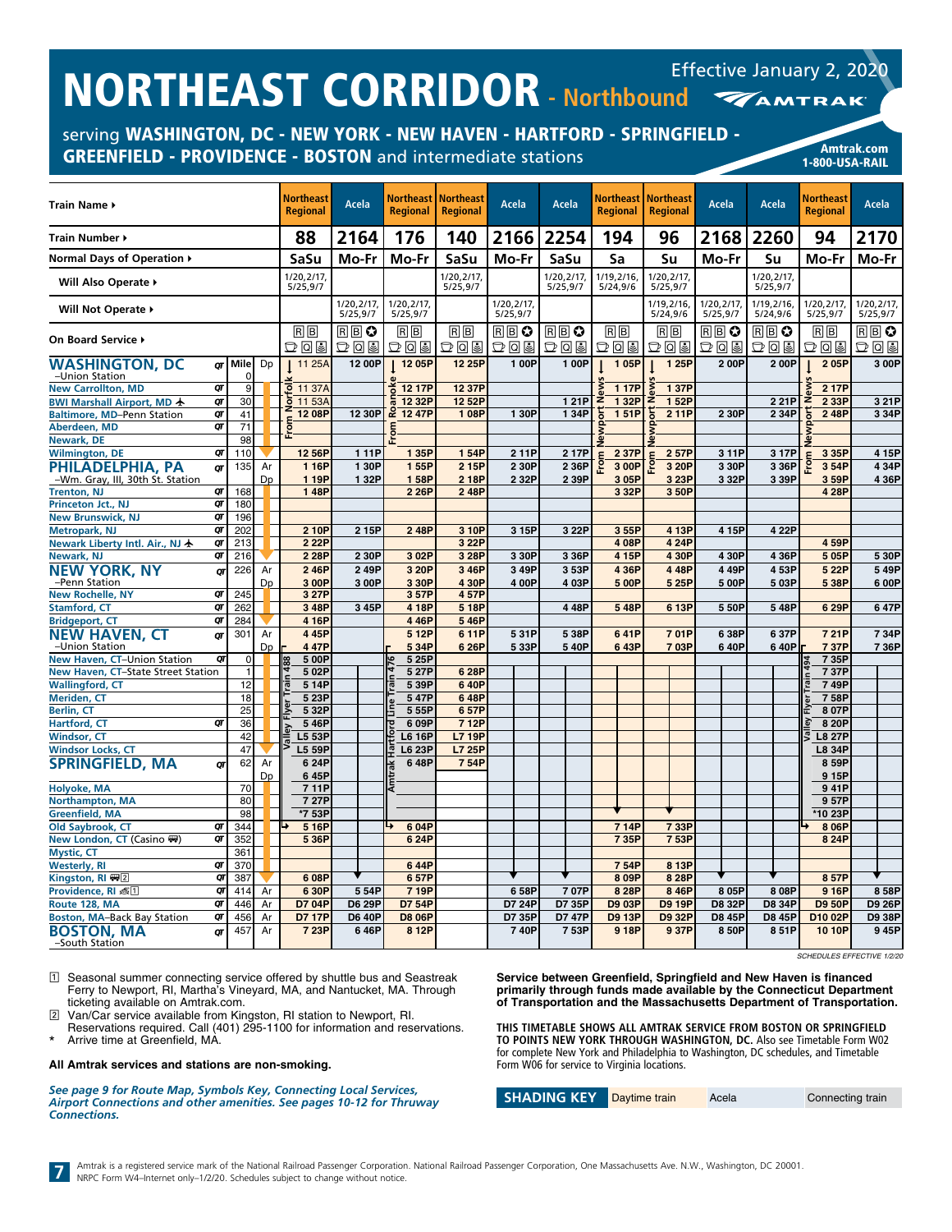serving WASHINGTON, DC - NEW YORK - NEW HAVEN - HARTFORD - SPRINGFIELD - GREENFIELD - PROVIDENCE - BOSTON and intermediate stations American Changes and Amtrak.com

| Train Name ▶                                           |    |               |    | <b>Northeast</b><br><b>Regional</b> | Acela                  | <b>Regional</b>       | Northeast   Northeast<br><b>Regional</b> | Acela                  | Acela      | Northeast  <br><b>Regional</b> | <b>Northeast</b><br><b>Regional</b> | Acela                  | Acela                  | Northeast<br><b>Regional</b>    | Acela                  |
|--------------------------------------------------------|----|---------------|----|-------------------------------------|------------------------|-----------------------|------------------------------------------|------------------------|------------|--------------------------------|-------------------------------------|------------------------|------------------------|---------------------------------|------------------------|
| Train Number ▶                                         |    |               |    | 88                                  | 2164                   | 176                   | 140                                      | 2166                   | 2254       | 194                            | 96                                  | 2168                   | 2260                   | 94                              | 2170                   |
| Normal Days of Operation ▶                             |    |               |    | SaSu                                | Mo-Fr                  | Mo-Fr                 | SaSu                                     | Mo-Fr                  | SaSu       | Sa                             | Su                                  | Mo-Fr                  | Su                     | Mo-Fr                           | Mo-Fr                  |
|                                                        |    |               |    | 1/20,2/17                           |                        |                       | 1/20,2/17,                               |                        | 1/20,2/17, | 1/19,2/16,                     | 1/20,2/17,                          |                        | 1/20,2/17,             |                                 |                        |
| Will Also Operate ▶                                    |    |               |    | 5/25,9/7                            |                        |                       | 5/25,9/7                                 |                        | 5/25,9/7   | 5/24,9/6                       | 5/25,9/7                            |                        | 5/25,9/7               |                                 |                        |
| Will Not Operate ▶                                     |    |               |    |                                     | 1/20.2/17.<br>5/25,9/7 | 1/20,2/17<br>5/25,9/7 |                                          | 1/20.2/17.<br>5/25,9/7 |            |                                | 1/19.2/16.<br>5/24,9/6              | 1/20.2/17.<br>5/25,9/7 | 1/19.2/16.<br>5/24,9/6 | 1/20,2/17,<br>5/25,9/7          | 1/20.2/17.<br>5/25,9/7 |
| On Board Service ▶                                     |    |               |    | 同同<br>모이의                           | RBO<br>모이의             | $R$ $B$<br>모이의        | $R$ $B$<br>모이의                           | RB≎<br>つしっ             | RB≎<br>つしっ | RB<br>つしっ                      | $R \overline{B}$<br>모이의             | RB≎<br>つしっ             | RΒO<br>DQ              | RB<br>모이의                       | RB≎<br>つしっ             |
| WASHINGTON, DC                                         |    | $\sigma$ Mile | Dp | 11 25A                              | 12 00P                 | 12 05P                | 12 25P                                   | 1 00P                  | 1 00P      | 105P                           | 1 25P                               | 200P                   | 200P                   | 205P                            | 3 00P                  |
| -Union Station                                         |    | $\Omega$      |    |                                     |                        |                       |                                          |                        |            |                                |                                     |                        |                        |                                 |                        |
| <b>New Carrollton, MD</b>                              | QΤ | 9             |    | tolk<br>11 37A                      |                        | 12 17P                | 12 37P                                   |                        |            | 1 17P                          | 137P                                |                        |                        | 2 17P                           |                        |
| BWI Marshall Airport, MD 卡                             | QT | 30            |    | ō<br>11 53A                         |                        | 12 32P                | 12 52P                                   |                        | 121P       | 1 32P                          | 1 52P                               |                        | 221P                   | 2 33P<br>z                      | 3 21P                  |
| Baltimore, MD-Penn Station                             | QT | 41            |    | 12 08P<br>ε                         | 12 30P                 | .<br>55<br>12 47P     | 108P                                     | 1 30P                  | 1 34P      | 151P                           | 211P                                | 2 30P                  | 2 34P                  | 248P                            | 3 34P                  |
| Aberdeen, MD                                           | QT | 71            |    | ē<br>ù.                             |                        |                       |                                          |                        |            |                                |                                     |                        |                        |                                 |                        |
| Newark, DE                                             |    | 98            |    |                                     |                        |                       |                                          |                        |            |                                |                                     |                        |                        |                                 |                        |
| <b>Wilmington, DE</b>                                  | QΤ | 110           |    | 12 56P                              | 111P                   | 1 35P                 | 154P                                     | 211P                   | 217P       | 2 37P                          | 2 57P                               | 311P                   | 3 17P                  | 3 35P                           | 4 15P                  |
| PHILADELPHIA, PA                                       | QΤ | 135           | Ar | 1 16P                               | 1 30P                  | 155P                  | 2 15P                                    | 2 30P                  | 2 36P      | 3 00P                          | 3 20P                               | 3 30P                  | 3 36P                  | 3 54P                           | 434P                   |
| -Wm. Gray, III, 30th St. Station<br><b>Trenton, NJ</b> | QT | 168           | Dp | 1 19P<br>148P                       | 1 32P                  | 158P<br>2 26P         | 218P<br>248P                             | 2 32P                  | 2 39P      | 3 05P<br>3 3 2 P               | 3 23P<br>350P                       | 3 32P                  | 3 39P                  | 3 59P<br>4 28P                  | 4 36P                  |
| Princeton Jct., NJ                                     | QT | 180           |    |                                     |                        |                       |                                          |                        |            |                                |                                     |                        |                        |                                 |                        |
| New Brunswick, NJ                                      | QT | 196           |    |                                     |                        |                       |                                          |                        |            |                                |                                     |                        |                        |                                 |                        |
| <b>Metropark, NJ</b>                                   | Qī | 202           |    | 2 10P                               | 2 15P                  | 248P                  | 3 10P                                    | 3 15P                  | 3 22P      | 355P                           | 4 13P                               | 4 15P                  | 4 22P                  |                                 |                        |
| Newark Liberty Intl. Air., NJ ★                        | QT | 213           |    | 2 22P                               |                        |                       | 3 22P                                    |                        |            | 408P                           | 4 24P                               |                        |                        | 4 59P                           |                        |
| Newark, NJ                                             | QT | 216           |    | 2 28P                               | 2 30P                  | 3 02P                 | 3 28P                                    | 3 30P                  | 3 36P      | 4 15P                          | 4 30P                               | 430P                   | 4 36P                  | 5 05P                           | 5 30P                  |
| NEW YORK. NY                                           | σг | 226           | Ar | 246P                                | 249P                   | 3 20P                 | 346P                                     | 349P                   | 353P       | 4 36P                          | 448P                                | 449P                   | 453P                   | 5 22P                           | 549P                   |
| -Penn Station                                          |    |               | Dp | 3 00P                               | 3 00P                  | 3 30P                 | 430P                                     | 4 00P                  | 4 03P      | 5 00P                          | 5 25P                               | 500P                   | 5 03P                  | 5 38P                           | 600P                   |
| New Rochelle, NY                                       | QT | 245           |    | 3 27P                               |                        | 357P                  | 457P                                     |                        |            |                                |                                     |                        |                        |                                 |                        |
| <b>Stamford, CT</b>                                    | QT | 262           |    | 3 48P                               | 3 45P                  | 4 18P                 | 5 18P                                    |                        | 448P       | 548P                           | 6 13P                               | 550P                   | 548P                   | 6 29P                           | 647P                   |
| <b>Bridgeport, CT</b>                                  | QT | 284           |    | 4 16P                               |                        | 446P                  | 546P                                     |                        |            |                                |                                     |                        |                        |                                 |                        |
| <b>NEW HAVEN, CT</b>                                   | QT | 301           | Ar | 445P                                |                        | 512P                  | 6 11P                                    | 531P                   | 5 38P      | 641P                           | 701P                                | 638P                   | 637P                   | 721P                            | 734P                   |
| -Union Station                                         |    |               | Dp | 447P                                |                        | 5 34P                 | 6 26P                                    | 5 33P                  | 540P       | 643P                           | 703P                                | 640P                   | 640P                   | 737P                            | 736P                   |
| New Haven, CT-Union Station                            | QΤ | $\mathbf{0}$  |    | 5 00P                               |                        | 5 25P                 |                                          |                        |            |                                |                                     |                        |                        | 735P                            |                        |
| New Haven, CT-State Street Station                     |    | $\mathbf{1}$  |    | 502P                                |                        | 5 27P                 | 628P                                     |                        |            |                                |                                     |                        |                        | 737P                            |                        |
| <b>Wallingford, CT</b>                                 |    | 12            |    | 514P                                |                        | 539P                  | 640P                                     |                        |            |                                |                                     |                        |                        | 749P                            |                        |
| Meriden, CT                                            |    | 18            |    | 5 23P                               |                        | 547P                  | 648P                                     |                        |            |                                |                                     |                        |                        | 758P                            |                        |
| <b>Berlin, CT</b>                                      |    | 25            |    | 5 32P                               |                        | 5 55P                 | 657P                                     |                        |            |                                |                                     |                        |                        | 8 07P                           |                        |
| Hartford, CT                                           | σт | 36            |    | 546P                                |                        | 6 09P                 | 712P                                     |                        |            |                                |                                     |                        |                        | 8 20P                           |                        |
| <b>Windsor, CT</b>                                     |    | 42            |    | L5 53P                              |                        | L6 16P                | L7 19P                                   |                        |            |                                |                                     |                        |                        | $\overline{a}$<br><b>L8 27P</b> |                        |
| <b>Windsor Locks, CT</b>                               |    | 47            |    | L5 59P                              |                        | L6 23P                | L7 25P                                   |                        |            |                                |                                     |                        |                        | <b>L8 34P</b>                   |                        |
| <b>SPRINGFIELD, MA</b>                                 | QT | 62            | Ar | 6 24P                               |                        | 648P                  | 7 54P                                    |                        |            |                                |                                     |                        |                        | 8 59P                           |                        |
|                                                        |    |               | Dp | 645P                                |                        |                       |                                          |                        |            |                                |                                     |                        |                        | 9 15P                           |                        |
| Holyoke, MA                                            |    | 70            |    | 711P                                |                        |                       |                                          |                        |            |                                |                                     |                        |                        | 941P                            |                        |
| <b>Northampton, MA</b>                                 |    | 80<br>98      |    | 7 27P<br>*7 53P                     |                        |                       |                                          |                        |            |                                |                                     |                        |                        | 957P<br>*10 23P                 |                        |
| <b>Greenfield, MA</b><br>Old Saybrook, CT              | QT | 344           |    | 5 16P                               |                        | 604P                  |                                          |                        |            | 714P                           | 733P                                |                        |                        | 8 06P                           |                        |
|                                                        | QT |               |    |                                     |                        |                       |                                          |                        |            |                                |                                     |                        |                        |                                 |                        |
| New London, CT (Casino ()                              |    | 352<br>361    |    | 5 36P                               |                        | 624P                  |                                          |                        |            | 7 35P                          | 7 53P                               |                        |                        | 8 24P                           |                        |
| <b>Mystic, CT</b><br><b>Westerly, RI</b>               | QT | 370           |    |                                     |                        | 644P                  |                                          |                        |            | 754P                           | 8 13P                               |                        |                        |                                 |                        |
| Kingston, RI (무)                                       | QT | 387           |    | 6 08P                               |                        | 657P                  |                                          |                        |            | 8 09P                          | 8 28P                               |                        |                        | 857P                            |                        |
| Providence, RI 离1                                      | QT | 414           | Ar | 6 30P                               | 554P                   | 7 19P                 |                                          | 658P                   | 707P       | 8 28P                          | 846P                                | 8 05P                  | 808P                   | 9 16P                           | 858P                   |
| Route 128, MA                                          | QT | 446           | Ar | D7 04P                              | <b>D6 29P</b>          | D7 54P                |                                          | D7 24P                 | D7 35P     | D9 03P                         | <b>D9 19P</b>                       | D8 32P                 | D8 34P                 | <b>D9 50P</b>                   | <b>D9 26P</b>          |
| <b>Boston, MA-Back Bay Station</b>                     | QT | 456           | Ar | <b>D7 17P</b>                       | <b>D6 40P</b>          | <b>D8 06P</b>         |                                          | D7 35P                 | D7 47P     | <b>D9 13P</b>                  | <b>D9 32P</b>                       | D8 45P                 | D8 45P                 | D10 02P                         | D9 38P                 |
| BOSTON, MA                                             | σт | 457           | Ar | 7 23P                               | 646P                   | 8 12P                 |                                          | 740P                   | 753P       | 918P                           | 937P                                | 850P                   | 851P                   | 10 10P                          | 945P                   |
| -South Station                                         |    |               |    |                                     |                        |                       |                                          |                        |            |                                |                                     |                        |                        |                                 |                        |

*SCHEDULES EFFECTIVE 1/2/20*

1-800-USA-RAIL

1 Seasonal summer connecting service offered by shuttle bus and Seastreak Ferry to Newport, RI, Martha's Vineyard, MA, and Nantucket, MA. Through ticketing available on Amtrak.com.

2 Van/Car service available from Kingston, RI station to Newport, RI.

Reservations required. Call (401) 295-1100 for information and reservations. Arrive time at Greenfield, MA.

#### **All Amtrak services and stations are non-smoking.**

*See page 9 for Route Map, Symbols Key, Connecting Local Services, Airport Connections and other amenities. See pages 10-12 for Thruway Connections.*

**Service between Greenfield, Springfield and New Haven is financed primarily through funds made available by the Connecticut Department of Transportation and the Massachusetts Department of Transportation.**

**THIS TIMETABLE SHOWS ALL AMTRAK SERVICE FROM BOSTON OR SPRINGFIELD TO POINTS NEW YORK THROUGH WASHINGTON, DC.** Also see Timetable Form W02 for complete New York and Philadelphia to Washington, DC schedules, and Timetable Form W06 for service to Virginia locations.

| <b>SHADING KEY</b> | Daytime train | Acela | Connecting train |
|--------------------|---------------|-------|------------------|
|--------------------|---------------|-------|------------------|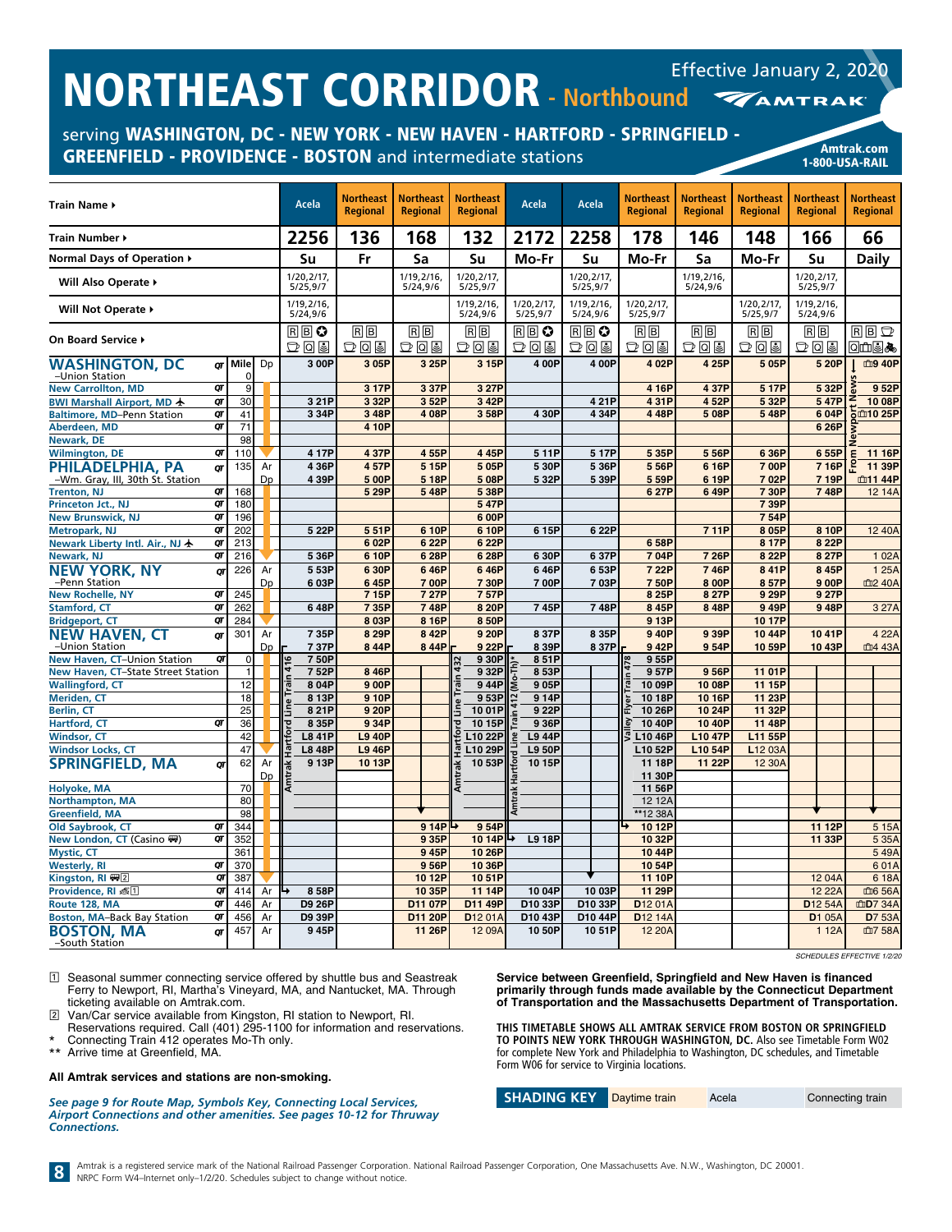serving WASHINGTON, DC - NEW YORK - NEW HAVEN - HARTFORD - SPRINGFIELD - GREENFIELD - PROVIDENCE - BOSTON and intermediate stations American Changes and Amtrak.com



| Train Name ▶                                         |    |                |          |              | Acela                  | <b>Northeast</b><br><b>Regional</b> | <b>Northeast</b><br><b>Regional</b> | <b>Northeast</b><br><b>Regional</b> | Acela                  | <b>Acela</b>            | <b>Northeast</b><br><b>Regional</b> | <b>Northeast</b><br><b>Regional</b> | <b>Northeast</b><br><b>Regional</b>    | <b>Northeast</b><br><b>Regional</b> | <b>Northeast</b><br><b>Regional</b> |
|------------------------------------------------------|----|----------------|----------|--------------|------------------------|-------------------------------------|-------------------------------------|-------------------------------------|------------------------|-------------------------|-------------------------------------|-------------------------------------|----------------------------------------|-------------------------------------|-------------------------------------|
| Train Number ▶                                       |    |                |          |              | 2256                   | 136                                 | 168                                 | 132                                 | 2172                   | 2258                    | 178                                 | 146                                 | 148                                    | 166                                 | 66                                  |
| Normal Days of Operation ▶                           |    |                |          |              | Su                     | Fr                                  | Sa                                  | Su                                  | Mo-Fr                  | Su                      | Mo-Fr                               | Sa                                  | Mo-Fr                                  | Su                                  | Daily                               |
| Will Also Operate ▶                                  |    |                |          |              | 1/20,2/17,<br>5/25,9/7 |                                     | 1/19, 2/16,<br>5/24,9/6             | 1/20,2/17,<br>5/25,9/7              |                        | 1/20,2/17,<br>5/25,9/7  |                                     | 1/19,2/16,<br>5/24,9/6              |                                        | 1/20,2/17,<br>5/25,9/7              |                                     |
| Will Not Operate ▶                                   |    |                |          |              | 1/19,2/16,<br>5/24,9/6 |                                     |                                     | 1/19,2/16,<br>5/24,9/6              | 1/20,2/17,<br>5/25,9/7 | 1/19,2/16,<br>5/24,9/6  | 1/20,2/17<br>5/25,9/7               |                                     | 1/20,2/17<br>5/25,9/7                  | 1/19,2/16,<br>5/24,9/6              |                                     |
| On Board Service ▶                                   |    |                |          |              | $R$ $B$ $Q$<br>つてる     | RB<br>つてる                           | RB<br>つてる                           | R  B <br>あてば                        | R B O<br>つてる           | $R \mathbb{B}$ 0<br>つてる | R  B <br>ひ回目                        | $R$ $B$<br>つてる                      | R  B <br>$\mathbb{D} \, \mathbb{Q}$ is | R  B <br>$D$ 0 3                    | $R$ $B$ $D$<br>◙∰®                  |
| <b>WASHINGTON, DC</b>                                |    | or Mile        | Dp       |              | 300P                   | 3 05P                               | 3 25P                               | 3 15P                               | 4 00P                  | 4 00P                   | 4 02P                               | 4 25P                               | 5 05P                                  | 5 20P                               | 血9 40P                              |
| -Union Station                                       |    | 0              |          |              |                        |                                     |                                     |                                     |                        |                         |                                     |                                     |                                        |                                     |                                     |
| <b>New Carrollton, MD</b>                            | QT | 9              |          |              |                        | 3 17P                               | 3 37P                               | 3 27P                               |                        |                         | 4 16P                               | 4 37P                               | 5 17P                                  | 5 32P                               | 952P                                |
| BWI Marshall Airport, MD +                           | QT | 30             |          |              | 321P                   | 3 32P                               | 352P                                | 3 42P                               |                        | 421P                    | 431P                                | 4 52P                               | 5 32P                                  | 547P                                | 10 08P                              |
| <b>Baltimore, MD-Penn Station</b>                    | QT | 41             |          |              | 3 34P                  | 348P                                | 4 08P                               | 358P                                | 430P                   | 434P                    | 448P                                | 5 08P                               | 5 48P                                  | 6 04P                               | ້ວີ⊞10 25P                          |
| Aberdeen, MD                                         | QΤ | 71             |          |              |                        | 4 10P                               |                                     |                                     |                        |                         |                                     |                                     |                                        | 6 26P                               |                                     |
| Newark, DE                                           |    | 98             |          |              |                        |                                     |                                     |                                     |                        |                         |                                     |                                     |                                        |                                     |                                     |
| <b>Wilmington, DE</b>                                | QT | 110            |          |              | 417P                   | 4 37P                               | 455P                                | 445P                                | 511P                   | 517P                    | 5 35P                               | 5 56P                               | 6 36P                                  | 655P                                | 11 16P                              |
| PHILADELPHIA, PA<br>-Wm. Gray, III, 30th St. Station | QΤ | 135            | Ar<br>Dp |              | 4 36P<br>4 39P         | 457P                                | 5 15P<br>5 18P                      | 505P<br>508P                        | 5 30P<br>532P          | 536P                    | 5 56P                               | 6 16P<br>6 19P                      | 7 00P<br>702P                          | 716P                                | 11 39P<br>血11 44P                   |
| <b>Trenton, NJ</b>                                   | QT | 168            |          |              |                        | 5 00P<br>5 29P                      | 548P                                | 5 38P                               |                        | 539P                    | 559P<br>6 27P                       | 649P                                | 7 30P                                  | 7 19P<br>748P                       | 12 14A                              |
| Princeton Jct., NJ                                   | QT | 180            |          |              |                        |                                     |                                     | 547P                                |                        |                         |                                     |                                     | 7 39P                                  |                                     |                                     |
| <b>New Brunswick, NJ</b>                             | QT | 196            |          |              |                        |                                     |                                     | 600P                                |                        |                         |                                     |                                     | 754P                                   |                                     |                                     |
| <b>Metropark, NJ</b>                                 | QT | 202            |          |              | 5 22P                  | 551P                                | 6 10P                               | 6 10P                               | 6 15P                  | 622P                    |                                     | 711P                                | 8 05P                                  | 8 10P                               | 12 40A                              |
| Newark Liberty Intl. Air., NJ ★                      | QT | 213            |          |              |                        | 602P                                | 6 22P                               | 6 22P                               |                        |                         | 658P                                |                                     | 8 17P                                  | 8 22P                               |                                     |
| Newark, NJ                                           | QT | 216            |          |              | 5 36P                  | 6 10P                               | 6 28P                               | 6 28P                               | 6 30P                  | 637P                    | 704P                                | 7 26P                               | 8 22P                                  | 8 27P                               | 1 0 2 A                             |
| <b>NEW YORK, NY</b>                                  | OΤ | 226            | Ar       |              | 553P                   | 6 30P                               | 646P                                | 646P                                | 646P                   | 653P                    | 7 22P                               | 746P                                | 841P                                   | 845P                                | 1 25A                               |
| -Penn Station                                        |    |                | Dp       |              | 603P                   | 645P                                | 700P                                | 730P                                | 700P                   | 703P                    | 750P                                | 8 00P                               | 8 57P                                  | 900P                                | 血2 40A                              |
| <b>New Rochelle, NY</b>                              | QT | 245            |          |              |                        | 7 15P                               | 7 27P                               | 757P                                |                        |                         | 8 25P                               | 8 27P                               | 9 29P                                  | 9 27P                               |                                     |
| <b>Stamford, CT</b>                                  | QT | 262            |          |              | 648P                   | 7 35P                               | 748P                                | 8 20P                               | 745P                   | 748P                    | 8 45P                               | 848P                                | 949P                                   | 948P                                | 3 27A                               |
| <b>Bridgeport, CT</b>                                | QT | 284            |          |              |                        | 8 03P                               | 8 16P                               | 850P                                |                        |                         | 9 13P                               |                                     | 10 17P                                 |                                     |                                     |
| <b>NEW HAVEN, CT</b>                                 | QT | 301            | Ar       |              | 735P                   | 8 29P                               | 8 42P                               | 9 20P                               | 837P                   | 8 35P                   | 9 40P                               | 9 39P                               | 10 44P                                 | 1041P                               | 4 22A                               |
| -Union Station                                       |    |                | Dp       |              | 737P                   | 844P                                | 844P                                | 9 22P                               | 8 39P                  | 837P                    | 942P                                | 954P                                | 10 59P                                 | 10 43P                              | 血4 43A                              |
| New Haven, CT-Union Station                          | QT | $\overline{0}$ |          | 416          | 750P                   |                                     |                                     | 930P                                | 851P                   |                         | 955P<br>478                         |                                     |                                        |                                     |                                     |
| New Haven, CT-State Street Station                   |    |                |          | $\mathbf{r}$ | 752P                   | 8 46P                               |                                     | 932P                                | 853P                   |                         | 957P                                | 956P                                | 11 01P                                 |                                     |                                     |
| <b>Wallingford, CT</b>                               |    | 12             |          |              | 8 04P                  | 9 00P                               |                                     | 944P                                | 905P                   |                         | 10 09P                              | 10 08P                              | 11 15P                                 |                                     |                                     |
| <b>Meriden, CT</b>                                   |    | 18             |          |              | 8 13P                  | 9 10P                               |                                     | 953P                                | 914P                   |                         | 1018P                               | 10 16P                              | 11 23P                                 |                                     |                                     |
| <b>Berlin, CT</b>                                    |    | 25             |          | Line         | 821P                   | 9 20P                               |                                     | 1001P                               | 9 22P                  |                         | 10 26P                              | 10 24P                              | 11 32P                                 |                                     |                                     |
| Hartford, CT                                         | QT | 36             |          |              | 8 35P                  | 9 34P                               |                                     | 10 15P                              | 936P                   |                         | 10 40P                              | 10 40P                              | 11 48P                                 |                                     |                                     |
| <b>Windsor, CT</b>                                   |    | 42             |          |              | <b>L8 41P</b>          | <b>L9 40P</b>                       |                                     | L10 22P                             | L9 44P                 |                         | $\overline{c}$<br>L10 46P           | <b>L10 47P</b>                      | L11 55P                                |                                     |                                     |
| <b>Windsor Locks, CT</b>                             |    | 47             |          |              | <b>L8 48P</b>          | <b>L9 46P</b>                       |                                     | L10 29P<br>우                        | L9 50P                 |                         | L10 52P                             | L10 54P                             | L12 03A                                |                                     |                                     |
| <b>SPRINGFIELD, MA</b>                               | QT | 62             | Ar       |              | 9 13P                  | 1013P                               |                                     | 1053P                               | 1015P                  |                         | 11 18P                              | 11 22P                              | 12 30A                                 |                                     |                                     |
|                                                      |    |                | Dp       |              |                        |                                     |                                     |                                     |                        |                         | 11 30P                              |                                     |                                        |                                     |                                     |
| Holyoke, MA                                          |    | 70             |          |              |                        |                                     |                                     | Ę                                   |                        |                         | 11 56P                              |                                     |                                        |                                     |                                     |
| <b>Northampton, MA</b>                               |    | 80             |          |              |                        |                                     |                                     |                                     |                        |                         | 12 12A                              |                                     |                                        |                                     |                                     |
| <b>Greenfield, MA</b>                                |    | 98             |          |              |                        |                                     |                                     |                                     |                        |                         | **12 38A                            |                                     |                                        |                                     |                                     |
| Old Saybrook, CT                                     | QT | 344            |          |              |                        |                                     | 9 14P                               | 954P                                |                        |                         | 10 12P                              |                                     |                                        | 11 12P                              | 5 15A                               |
| New London, CT (Casino ()                            | QT | 352            |          |              |                        |                                     | 9 35P                               | 10 14P                              | ↳<br><b>L9 18P</b>     |                         | 10 32P                              |                                     |                                        | 11 33P                              | 5 35A                               |
| <b>Mystic, CT</b>                                    |    | 361            |          |              |                        |                                     | 945P                                | 10 26P                              |                        |                         | 1044P                               |                                     |                                        |                                     | 549A                                |
| <b>Westerly, RI</b>                                  | QT | 370            |          |              |                        |                                     | 956P                                | 10 36P                              |                        |                         | 1054P                               |                                     |                                        |                                     | 601A                                |
| Kingston, RI 四2                                      | QT | 387            |          |              |                        |                                     | 10 12P                              | 1051P                               |                        |                         | 11 10P                              |                                     |                                        | 12 04A                              | 618A                                |
| Providence, RI 長口                                    | QT | 414            | Ar       |              | 8 58P                  |                                     | 10 35P                              | 11 14P                              | 10 04P                 | 10 03P                  | 11 29P                              |                                     |                                        | 12 22A                              | 血6 56A                              |
| Route 128, MA                                        | QT | 446            | Ar       |              | <b>D9 26P</b>          |                                     | D11 07P                             | D11 49P                             | D10 33P                | D10 33P                 | D <sub>12</sub> 01A                 |                                     |                                        | D <sub>12</sub> 54A                 | 血D7 34A                             |
| <b>Boston, MA-Back Bay Station</b>                   | QT | 456            | Ar       |              | D9 39P                 |                                     | D11 20P                             | D <sub>12</sub> 01A                 | D10 43P                | D10 44P                 | D <sub>12</sub> 14A                 |                                     |                                        | D1 05A                              | <b>D</b> 7 53A                      |
| <b>BOSTON, MA</b><br>-South Station                  | σт | 457            | Ar       |              | 945P                   |                                     | 11 26P                              | 12 09A                              | 10 50P                 | 1051P                   | 12 20A                              |                                     |                                        | 1 1 2 A                             | 血7 58A                              |

*SCHEDULES EFFECTIVE 1/2/20*

1 Seasonal summer connecting service offered by shuttle bus and Seastreak Ferry to Newport, RI, Martha's Vineyard, MA, and Nantucket, MA. Through ticketing available on Amtrak.com.

2 Van/Car service available from Kingston, RI station to Newport, RI.

Reservations required. Call (401) 295-1100 for information and reservations. \* Connecting Train 412 operates Mo-Th only.<br>\*\* Arrive time at Greenfield, MA

Arrive time at Greenfield, MA.

#### **All Amtrak services and stations are non-smoking.**

*See page 9 for Route Map, Symbols Key, Connecting Local Services, Airport Connections and other amenities. See pages 10-12 for Thruway Connections.*

**Service between Greenfield, Springfield and New Haven is financed primarily through funds made available by the Connecticut Department of Transportation and the Massachusetts Department of Transportation.**

**THIS TIMETABLE SHOWS ALL AMTRAK SERVICE FROM BOSTON OR SPRINGFIELD TO POINTS NEW YORK THROUGH WASHINGTON, DC.** Also see Timetable Form W02 for complete New York and Philadelphia to Washington, DC schedules, and Timetable Form W06 for service to Virginia locations.

| <b>SHADING KEY</b> | Daytime train | Acela | Connecting train |
|--------------------|---------------|-------|------------------|
|--------------------|---------------|-------|------------------|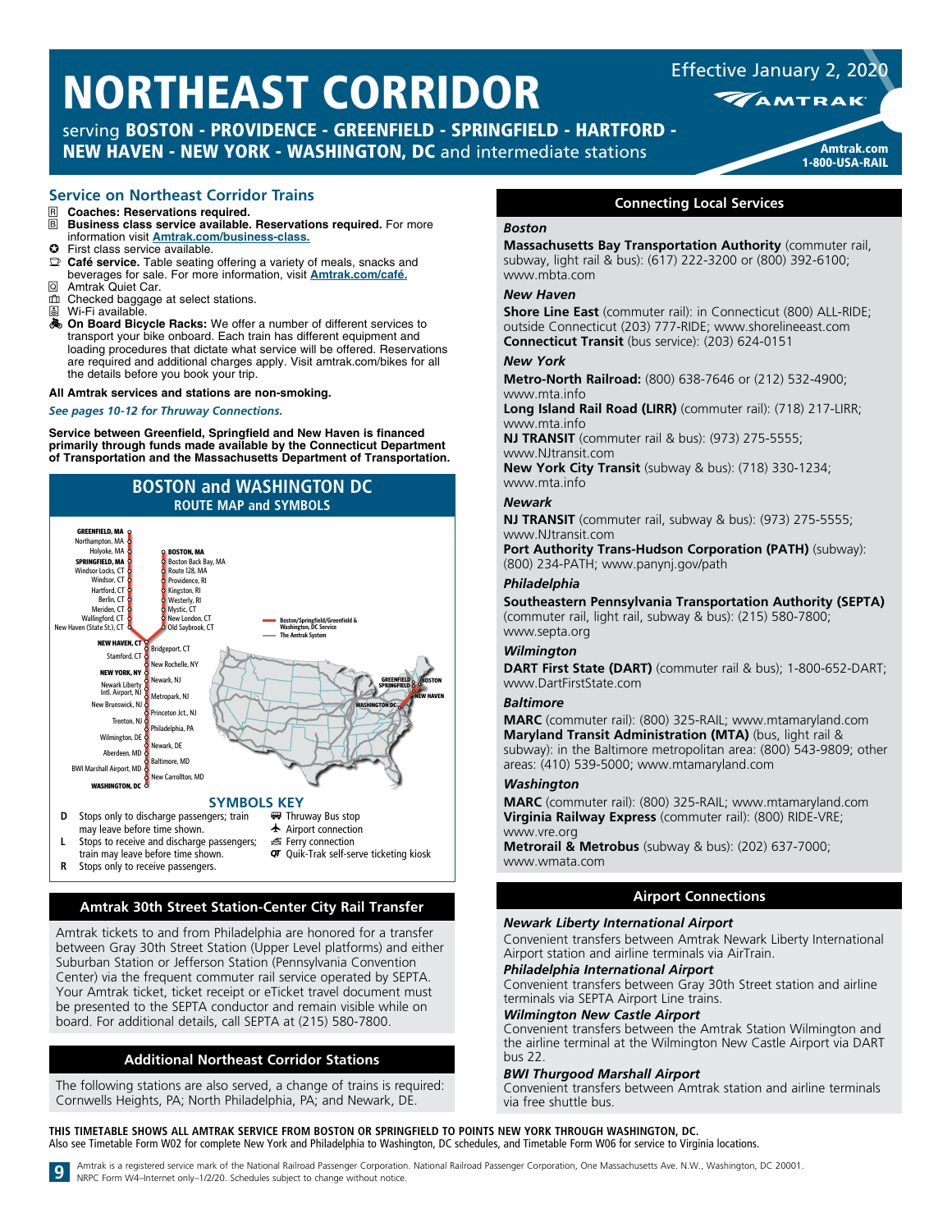serving BOSTON - PROVIDENCE - GREENFIELD - SPRINGFIELD - HARTFORD - NEW HAVEN - NEW YORK - WASHINGTON, DC and intermediate stations Amtrak.com

# **Service on Northeast Corridor Trains**

- **R** Coaches: Reservations required.<br>**R** Business class service available.
- **Business class service available. Reservations required.** For more information visit **[Amtrak.com/business-class.](https://www.amtrak.com/business-class)**
- $\bullet$  First class service available.  $\mathbb{D}$  **Café service.** Table seating offering a variety of meals, snacks and beverages for sale. For more information, visit **[Amtrak.com/café](https://www.amtrak.com/onboard/meals-dining/cafe-car.html).**
- Q Amtrak Quiet Car.
- $\overline{m}$  Checked baggage at select stations.
- Wi-Fi available.
- On Board Bicycle Racks: We offer a number of different services to transport your bike onboard. Each train has different equipment and loading procedures that dictate what service will be offered. Reservations are required and additional charges apply. Visit amtrak.com/bikes for all the details before you book your trip.

#### **All Amtrak services and stations are non-smoking.**

#### *See pages 10-12 for Thruway Connections.*

**Service between Greenfield, Springfield and New Haven is financed primarily through funds made available by the Connecticut Department of Transportation and the Massachusetts Department of Transportation.**



- **L** Stops to receive and discharge passengers;
- train may leave before time shown.
- **R** Stops only to receive passengers.

# **Amtrak 30th Street Station-Center City Rail Transfer**

**图 Ferry connection** 

QT Quik-Trak self-serve ticketing kiosk

Amtrak tickets to and from Philadelphia are honored for a transfer between Gray 30th Street Station (Upper Level platforms) and either Suburban Station or Jefferson Station (Pennsylvania Convention Center) via the frequent commuter rail service operated by SEPTA. Your Amtrak ticket, ticket receipt or eTicket travel document must be presented to the SEPTA conductor and remain visible while on board. For additional details, call SEPTA at (215) 580-7800.

## **Additional Northeast Corridor Stations**

The following stations are also served, a change of trains is required: Cornwells Heights, PA; North Philadelphia, PA; and Newark, DE.

**WAMTRAK** 

Effective January 2, 2020



## **Connecting Local Services**

#### *Boston*

**Massachusetts Bay Transportation Authority** (commuter rail, subway, light rail & bus): (617) 222-3200 or (800) 392-6100; www.mbta.com

#### *New Haven*

**Shore Line East** (commuter rail): in Connecticut (800) ALL-RIDE; outside Connecticut (203) 777-RIDE; www.shorelineeast.com **Connecticut Transit** (bus service): (203) 624-0151

#### *New York*

**Metro-North Railroad:** (800) 638-7646 or (212) 532-4900; www.mta.info

**Long Island Rail Road (LIRR)** (commuter rail): (718) 217-LIRR; www.mta.info

**NJ TRANSIT** (commuter rail & bus): (973) 275-5555; www.NJtransit.com

**New York City Transit** (subway & bus): (718) 330-1234; www.mta.info

#### *Newark*

**NJ TRANSIT** (commuter rail, subway & bus): (973) 275-5555; www.NJtransit.com

**Port Authority Trans-Hudson Corporation (PATH)** (subway): (800) 234-PATH; www.panynj.gov/path

### *Philadelphia*

**Southeastern Pennsylvania Transportation Authority (SEPTA)**  (commuter rail, light rail, subway & bus): (215) 580-7800; www.septa.org

#### *Wilmington*

**DART First State (DART)** (commuter rail & bus); 1-800-652-DART; www.DartFirstState.com

### *Baltimore*

**MARC** (commuter rail): (800) 325-RAIL; www.mtamaryland.com **Maryland Transit Administration (MTA)** (bus, light rail & subway): in the Baltimore metropolitan area: (800) 543-9809; other areas: (410) 539-5000; www.mtamaryland.com

#### *Washington*

**MARC** (commuter rail): (800) 325-RAIL; www.mtamaryland.com **Virginia Railway Express** (commuter rail): (800) RIDE-VRE; www.vre.org

**Metrorail & Metrobus** (subway & bus): (202) 637-7000; www.wmata.com

# **Airport Connections**

#### *Newark Liberty International Airport*

Convenient transfers between Amtrak Newark Liberty International Airport station and airline terminals via AirTrain.

# *Philadelphia International Airport*

Convenient transfers between Gray 30th Street station and airline terminals via SEPTA Airport Line trains.

# *Wilmington New Castle Airport*

Convenient transfers between the Amtrak Station Wilmington and the airline terminal at the Wilmington New Castle Airport via DART bus 22.

#### *BWI Thurgood Marshall Airport*

Convenient transfers between Amtrak station and airline terminals via free shuttle bus.

**THIS TIMETABLE SHOWS ALL AMTRAK SERVICE FROM BOSTON OR SPRINGFIELD TO POINTS NEW YORK THROUGH WASHINGTON, DC.**  Also see Timetable Form W02 for complete New York and Philadelphia to Washington, DC schedules, and Timetable Form W06 for service to Virginia locations.

9 Amtrak is a registered service mark of the National Railroad Passenger Corporation. National Railroad Passenger Corporation, One Massachusetts Ave. N.W., Washington, DC 20001.<br>NRPC Form W4-Internet only-1/2/20. Schedules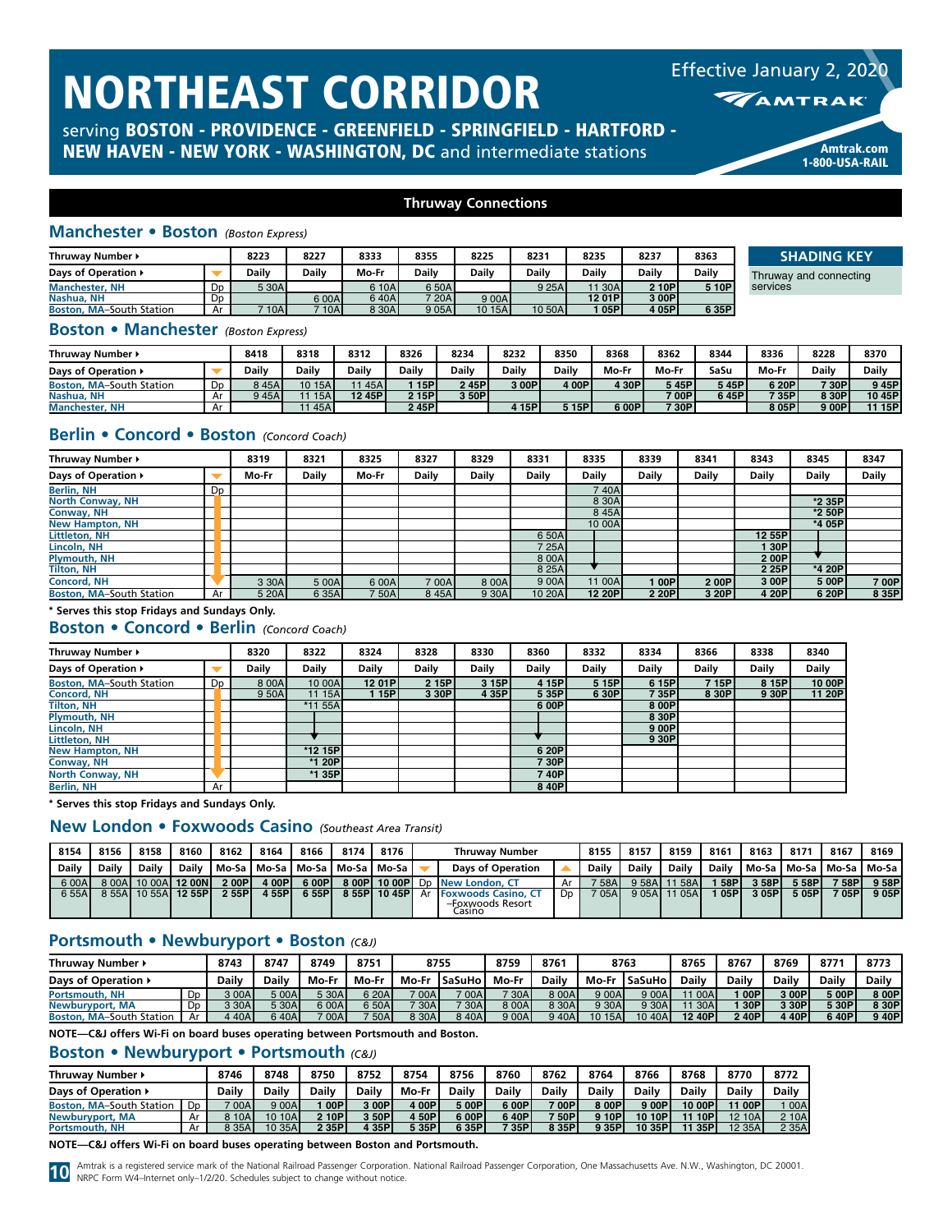serving BOSTON - PROVIDENCE - GREENFIELD - SPRINGFIELD - HARTFORD - NEW HAVEN - NEW YORK - WASHINGTON, DC and intermediate stations Amtrak.com



Effective January 2, 2020

1-800-USA-RAIL

# **Thruway Connections**

# **Manchester • Boston** *(Boston Express)*

| Thruwav Number ▶                |                | 8223    | 8227     | 8333  | 8355     | 8225   | 8231   | 8235  | 8237  | 8363  |
|---------------------------------|----------------|---------|----------|-------|----------|--------|--------|-------|-------|-------|
| Days of Operation ▶             |                | Dailv   | Dailv    | Mo-Fr | Dailv    | Dailv  | Dailv  | Daily | Daily | Daily |
| <b>Manchester, NH</b>           | D <sub>D</sub> | 5 30A   |          | 610A  | 650A     |        | 9 25AI | 30A   | 2 10P | 5 10P |
| Nashua, NH                      | Dp             |         | 600A     | 640A  | $720$ AL | 9 00A  |        | 1201P | 3 00P |       |
| <b>Boston, MA-South Station</b> | Ar             | $710$ A | $710$ AI | 8 30A | 9 0 5 A  | 10 15A | 10 50A | 05P   | 4 05P | 6 35P |

**SHADING KEY**

Thruway and connecting service

### **Boston • Manchester** *(Boston Express)*

| Thruway Number                  |          | 8418  | 8318    | 8312             | 8326  | 8234  | 8232         | 8350  | 8368  | 8362         | 8344   | 8336  | 8228  | 8370   |
|---------------------------------|----------|-------|---------|------------------|-------|-------|--------------|-------|-------|--------------|--------|-------|-------|--------|
| Davs of Operation ▶             |          | Dailv | Daily   | Dailv            | Daily | Dailv | <b>Daily</b> | Dailv | Mo-Fr | Mo-Fr        | SaSu   | Mo-Fr | Daily | Daily  |
| <b>Boston, MA-South Station</b> | `~<br>טע | 845A  | 10 15Al | 45A <sub>1</sub> | 15P   | 245P  | 3 00P        | 4 00P | 4 30P | 5 45P        | › 45Pl | 6 20P | 730P  | 945P   |
| Nashua, NH                      | mι.      | 945AL | 15A     | 12 45P l         | 2 15P | 3 50P |              |       |       | 700PI        | 6 45Pl | 735P  | 8 30P | 10 45P |
| <b>Manchester, NH</b>           | mι       |       | 45A     |                  | 245P  |       | 15P          | 5 15P | 6 00P | <b>730Pr</b> |        | 805P  | 9 00P | 11 15P |

# **Berlin • Concord • Boston** *(Concord Coach)*

| Thruway Number ▶                |    | 8319  | 8321  | 8325  | 8327  | 8329  | 8331   | 8335    | 8339   | 8341  | 8343         | 8345   | 8347         |
|---------------------------------|----|-------|-------|-------|-------|-------|--------|---------|--------|-------|--------------|--------|--------------|
| Days of Operation ▶             |    | Mo-Fr | Daily | Mo-Fr | Daily | Daily | Daily  | Daily   | Daily  | Daily | <b>Daily</b> | Daily  | <b>Daily</b> |
| <b>Berlin, NH</b>               | Dp |       |       |       |       |       |        | 740A    |        |       |              |        |              |
| <b>North Conway, NH</b>         |    |       |       |       |       |       |        | 8 30A   |        |       |              | *2 35P |              |
| Conway, NH                      |    |       |       |       |       |       |        | 8 4 5 A |        |       |              | *2 50P |              |
| <b>New Hampton, NH</b>          |    |       |       |       |       |       |        | 10 00A  |        |       |              | *4 05P |              |
| <b>Littleton, NH</b>            |    |       |       |       |       |       | 6 50A  |         |        |       | 12 55P       |        |              |
| Lincoln, NH                     |    |       |       |       |       |       | 7 25A  |         |        |       | 1 30Pl       |        |              |
| <b>Plymouth, NH</b>             |    |       |       |       |       |       | 8 00A  |         |        |       | 200P         |        |              |
| <b>Tilton, NH</b>               |    |       |       |       |       |       | 8 25A  |         |        |       | 2 25P        | *4 20P |              |
| <b>Concord, NH</b>              |    | 3 30A | 5 00A | 6 00A | 7 00A | 8 00A | 9 00A  | 11 00A  | 1 00Pl | 200P  | 3 00P        | 5 00P  | 7 00P        |
| <b>Boston, MA-South Station</b> | Ar | 5 20A | 6 35A | 7 50A | 845A  | 9 30A | 10 20A | 12 20P  | 2 20P  | 3 20P | 4 20P        | 6 20P  | 8 35P        |

## **\* Serves this stop Fridays and Sundays Only.**

# **Boston • Concord • Berlin** *(Concord Coach)*

| Thruway Number ▶                |    | 8320  | 8322         | 8324         | 8328  | 8330  | 8360         | 8332         | 8334         | 8366         | 8338         | 8340   |
|---------------------------------|----|-------|--------------|--------------|-------|-------|--------------|--------------|--------------|--------------|--------------|--------|
| Days of Operation ▶             |    | Dailv | <b>Daily</b> | <b>Daily</b> | Daily | Daily | <b>Daily</b> | <b>Daily</b> | <b>Daily</b> | <b>Daily</b> | <b>Daily</b> | Daily  |
| <b>Boston, MA-South Station</b> | Dp | 8 00A | 10 00A       | 12 01 P      | 2 15P | 3 15P | 4 15P        | 5 15P        | 6 15P        | 715P         | 8 15P        | 10 00P |
| <b>Concord, NH</b>              |    | 9 50A | 11 15A       | 15PI         | 3 30P | 4 35P | 5 35P        | 6 30P        | 7 35P        | 8 30P        | 9 30P        | 11 20P |
| <b>Tilton, NH</b>               |    |       | *11 55A      |              |       |       | 6 00P        |              | 8 00P        |              |              |        |
| <b>Plymouth, NH</b>             |    |       |              |              |       |       |              |              | 8 30P        |              |              |        |
| Lincoln, NH                     |    |       |              |              |       |       |              |              | 9 00P        |              |              |        |
| <b>Littleton, NH</b>            |    |       |              |              |       |       |              |              | 9 30P        |              |              |        |
| <b>New Hampton, NH</b>          |    |       | *12 15P      |              |       |       | 6 20P        |              |              |              |              |        |
| Conway, NH                      |    |       | *1 20P       |              |       |       | 7 30P        |              |              |              |              |        |
| <b>North Conway, NH</b>         |    |       | *1 35P       |              |       |       | 740P         |              |              |              |              |        |
| Berlin, NH                      | Ar |       |              |              |       |       | 8 40P        |              |              |              |              |        |

**\* Serves this stop Fridays and Sundays Only.**

# **New London • Foxwoods Casino** *(Southeast Area Transit)*

| 8154         | 8156  | 8158  | 8160                | 8162  | 8164  | 8166  | 8174   | 8176                                  |                                                                     | <b>Thruwav Number</b>      |    | 8155  | 8157   | 8159   | 8161  | 8163                              | 8171   | 8167   | 8169  |
|--------------|-------|-------|---------------------|-------|-------|-------|--------|---------------------------------------|---------------------------------------------------------------------|----------------------------|----|-------|--------|--------|-------|-----------------------------------|--------|--------|-------|
| <b>Daily</b> | Daily | Daily | Daily               |       |       |       |        | Mo-Sa   Mo-Sa   Mo-Sa   Mo-Sa   Mo-Sa |                                                                     | <b>Davs of Operation</b>   |    | Daily | Daily  | Dailv  | Daily | l Mo-Sa l Mo-Sa l Mo-Sa l Mo-Sa l |        |        |       |
| 6 00A        |       |       | 8 00A 10 00A 12 00N | 2 00P | 4 00P | 6 00P | 8 00PL |                                       |                                                                     | 10 00Pl Dp INew London, CT | Ar | 58A   | 9 58AI | 11 58A | 58PI  | 3 58PI                            | 5 58PI | 7 58Pl | 9 58P |
| 6 55A        |       |       | 8 55A 10 55A 12 55P | 2 55P | 455P  | 6 55P | 8 55P  |                                       | <b>10 45PL Ar Foxwoods Casino, CT</b><br>-Foxwoods Resort<br>Casino |                            | Dp | 705A  | 9 05AL | 11 05A | 05P   | 305P                              | 505P   | 705P   | 9 05P |

# **Portsmouth • Newburyport • Boston** *(C&J)*

| <b>Thruwav Number ▶</b>         |                | 8743  | 8747         | 8749   | 8751  | 8755   |               | 8759  | 8761  |         | 8763          | 8765    | 8767  | 8769    | 877'   | 8775         |
|---------------------------------|----------------|-------|--------------|--------|-------|--------|---------------|-------|-------|---------|---------------|---------|-------|---------|--------|--------------|
| Davs of Operation ▶             |                | Daily | <b>Daily</b> | Mo-Fr  | Mo-Fr | Mo-Fr  | <b>SaSuHo</b> | Mo Fr | Dailv | Mo-Fr   | <b>SaSuHo</b> | Daily   | Daily | Daily   | Daily  | <b>Daily</b> |
| Portsmouth, NH                  | Dp             | 300A  | 5 00A        | 5 30Al | 6 20A | 7 00AI | 700AI         | 7 30A | 8 00A | 9 00A   | 9 00A         | 1 00A   | 00Pl  | 3 OOP I | 5 00Pl | 800P         |
| Newburyport, MA                 | D <sub>D</sub> | 3 30A | 530A.        | 6 00A  | 650A  | 730Al  | $-30A1$       | 8 00A | 8 30A | 9 30A   | 9 30A         | 1 30A   | 30P   | 3 30Pl  | 5 30Pl | 8 30P        |
| <b>Boston, MA-South Station</b> | Αr             | 440A  | 640A         | 700Al  | 750A  | 8 30A  | 840A          | 9 00A | 940A  | 10 15AL | 10 40A        | 12 40Pl | 240P  | + 40P   | 340P   | 940P         |

**NOTE—C&J offers Wi-Fi on board buses operating between Portsmouth and Boston.**

# **Boston • Newburyport • Portsmouth** *(C&J)*

| Thruway Number ▶                |                | 8746    | 8748    | 8750         | 8752         | 8754  | 8756  | 8760  | 8762     | 8764         | 8766   | 8768   | 8770    | 8772  |
|---------------------------------|----------------|---------|---------|--------------|--------------|-------|-------|-------|----------|--------------|--------|--------|---------|-------|
| Davs of Operation ▶             |                | Daily   | Dailv   | <b>Daily</b> | <b>Daily</b> | Mo-Fr | Dailv | Daily | Dailv    | <b>Daily</b> | Daily  | Daily  | Daily   | Daily |
| <b>Boston, MA-South Station</b> | D <sub>D</sub> | $'$ 00A | 9 00A   | 00P          | 3 00P        | 4 00P | 5 00P | 6 00P | $700P_1$ | 8 00P        | 9 00P  | 10 00P | 1 00P   | 00A   |
| Newburyport, MA                 | Ar             | 8 10A   | 10 10A  | 2 10Pl       | 3 50P        | 4 50P | 6 00P | 640P  | 7 50P    | 9 10P        | 10 10P | 10P    | 12 10A  | 2 10A |
| <b>Portsmouth, NH</b>           | Ar             | 9 35A.  | 10 35A) | 2 35P        | 4 35P        | 535P  | 635P  | 735P  | 8 35P    | 935P         | 10 35P | 35P    | 12 35A. | 2 35A |

# **NOTE—C&J offers Wi-Fi on board buses operating between Boston and Portsmouth.**

10 Amtrak is a registered service mark of the National Railroad Passenger Corporation. National Railroad Passenger Corporation, One Massachusetts Ave. N.W., Washington, DC 20001.<br>NRPC Form W4-Internet only-1/2/20. Schedule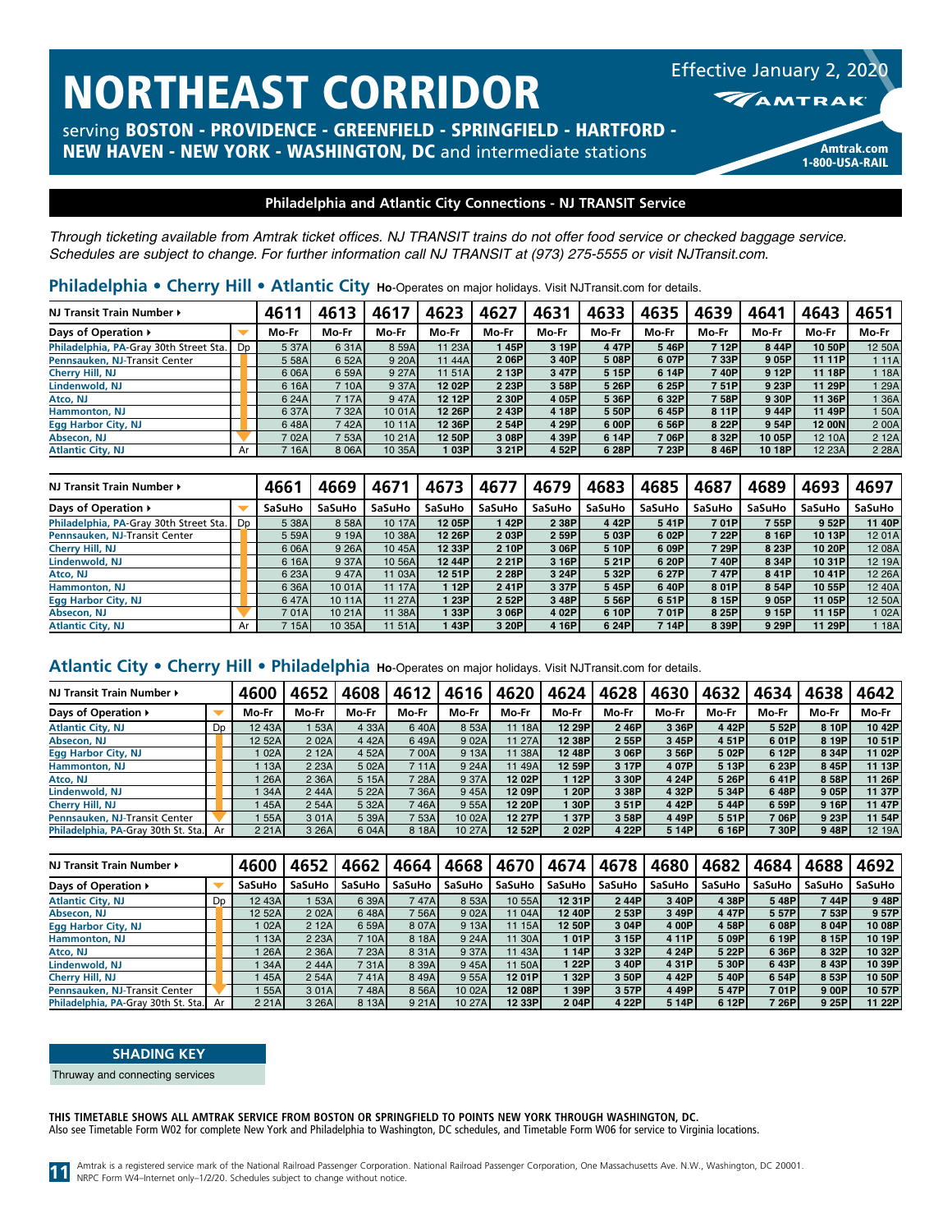serving BOSTON - PROVIDENCE - GREENFIELD - SPRINGFIELD - HARTFORD -

NEW HAVEN - NEW YORK - WASHINGTON, DC and intermediate stations Amtrak.com

# Effective January 2, 2020 **MAMTRAK**

1-800-USA-RAIL

# **Philadelphia and Atlantic City Connections - NJ TRANSIT Service**

*Through ticketing available from Amtrak ticket offices. NJ TRANSIT trains do not offer food service or checked baggage service. Schedules are subject to change. For further information call NJ TRANSIT at (973) 275-5555 or visit NJTransit.com.*

| Philadelphia • Cherry Hill • Atlantic City Ho-Operates on major holidays. Visit NJTransit.com for details. |  |  |  |
|------------------------------------------------------------------------------------------------------------|--|--|--|
|------------------------------------------------------------------------------------------------------------|--|--|--|

| NJ Transit Train Number >              |    | 4611   | 4613    | 4617   | 4623    | 4627  | 4631  | 4633  | 4635  | 4639  | 4641   | 4643          | 4651       |
|----------------------------------------|----|--------|---------|--------|---------|-------|-------|-------|-------|-------|--------|---------------|------------|
| Days of Operation ▶                    |    | Mo-Fr  | Mo-Fr   | Mo-Fr  | Mo-Fr   | Mo-Fr | Mo-Fr | Mo-Fr | Mo-Fr | Mo Fr | Mo-Fr  | Mo-Fr         | Mo-Fr      |
| Philadelphia, PA-Gray 30th Street Sta. | Dp | 5 37A  | 6 31A   | 8 59A  | 11 23A  | 45P   | 3 19P | 447P  | 5 46P | 7 12P | 844P   | 10 50P        | 12 50A     |
| Pennsauken, NJ-Transit Center          |    | 5 58A  | 6 52A   | 9 20A  | 11 44AI | 206P  | 3 40P | 5 08P | 6 07P | 7 33P | 9 05P  | 11 11 P       | 1 11A      |
| Cherry Hill, NJ                        |    | 6 06A  | 6 59A   | 9 27A  | 11.51A  | 2 13P | 3 47P | 5 15P | 6 14P | 740P  | 9 12P  | 11 18P        | 18A        |
| Lindenwold, NJ                         |    | 6 16A  | 7 10A   | 9 37A  | 12 02P  | 2 23P | 3 58P | 5 26P | 6 25P | 751P  | 9 23P  | 11 29P        | 129A       |
| Atco, NJ                               |    | 6 24A  | 7 17AL  | 947A   | 12 12Pl | 2 30P | 4 05P | 5 36P | 6 32P | 7 58P | 9 30P  | 11 36P        | 136A       |
| Hammonton, NJ                          |    | 6 37A  | 732A    | 10 01A | 12 26P  | 243P  | 4 18P | 5 50P | 645P  | 8 11P | 944P   | 11 49P        | <b>50A</b> |
| <b>Egg Harbor City, NJ</b>             |    | 648A   | 742A)   | 10 11A | 12 36P  | 2 54P | 4 29P | 6 00P | 6 56P | 8 22P | 9 54P  | <b>12 00N</b> | 2 00A      |
| Absecon, NJ                            |    | 7 02Al | 753A1   | 10 21A | 12 50P  | 3 08P | 4 39P | 6 14P | 7 06P | 8 32P | 10 05P | 12 10A        | 2 12A      |
| <b>Atlantic City, NJ</b>               | Ar | 7 16A  | 8 0 6 A | 10 35A | 03PI    | 3 21P | 4 52P | 6 28P | 7 23P | 8 46P | 10 18P | 12 23A        | 2 2 8 A    |

| NJ Transit Train Number >              |    | 4661   | 4669   | 4671    | 4673    | 4677   | 4679   | 4683   | 4685   | 4687   | 4689   | 4693    | 4697   |
|----------------------------------------|----|--------|--------|---------|---------|--------|--------|--------|--------|--------|--------|---------|--------|
| Days of Operation ▶                    |    | SaSuHo | SaSuHo | SaSuHo  | SaSuHo  | SaSuHo | SaSuHo | SaSuHo | SaSuHo | SaSuHo | SaSuHo | SaSuHo  | SaSuHo |
| Philadelphia, PA-Gray 30th Street Sta. | Dp | 5 38A  | 8 58A  | 10 17A  | 12 05Pl | 42P    | 2 38P  | 442Pl  | 541P   | 701PI  | 755P   | 9 52P   | 11 40P |
| Pennsauken, NJ-Transit Center          |    | 5 59A  | 9 19A  | 10 38A  | 12 26PI | 203P   | 2 59P  | 5 03P  | 6 02P  | 7 22Pl | 8 16P  | 10 13P  | 12 01A |
| Cherry Hill, NJ                        |    | 6 06A  | 9 26A  | 10 45A  | 12 33PI | 2 10P  | 3 06P  | 5 10P  | 6 09P  | 7 29P  | 8 23P  | 10 20P  | 12 08A |
| Lindenwold, NJ                         |    | 6 16A  | 9 37A  | 10 56A  | 12 44P  | 2 21P  | 3 16P  | 5 21P  | 6 20P  | 740PI  | 8 34P  | 10 31P  | 12 19A |
| Atco, NJ                               |    | 6 23A  | 947A   | 11 03A  | 12 51P  | 2 28P  | 3 24P  | 5 32P  | 6 27P  | 747PI  | 841P   | 10 41P  | 12 26A |
| Hammonton, NJ                          |    | 6 36A  | 10 01A | 11 17AI | 12P     | 241P   | 3 37P  | 545P   | 640P   | 8 01P  | 8 54P  | 10 55P  | 12 40A |
| Egg Harbor City, NJ                    |    | 647A   | 10 11A | 11 27A  | 23PI    | 2 52P  | 3 48P  | 5 56P  | 6 51P  | 8 15P  | 9 05P  | 11 05PI | 12 50A |
| Absecon, NJ                            |    | 701AI  | 10 21A | 11 38A  | 33P     | 3 06P  | 4 02P  | 6 10P  | 701P   | 8 25P  | 9 15P  | 11 15P  | 1 02A  |
| <b>Atlantic City, NJ</b>               | Ar | 7 15Al | 10 35A | 11 51Al | 43PI    | 3 20P  | 4 16P  | 6 24P  | 7 14P  | 8 39P  | 9 29P  | 11 29P  | 18A    |

# **Atlantic City • Cherry Hill • Philadelphia Ho**-Operates on major holidays. Visit NJTransit.com for details.

| NJ Transit Train Number ▶              |    | 4600        | 4652    | 4608    | 4612  | 4616    | 4620   | 4624   | 4628  | 4630  | 4632  | 4634              | 4638  | 4642   |
|----------------------------------------|----|-------------|---------|---------|-------|---------|--------|--------|-------|-------|-------|-------------------|-------|--------|
| Days of Operation ▶                    |    | Mo-Fr       | Mo-Fr   | Mo Fr   | Mo-Fr | Mo Fr   | Mo-Fr  | Mo-Fr  | Mo-Fr | Mo-Fr | Mo Fr | Mo-Fr             | Mo-Fr | Mo-Fr  |
| <b>Atlantic City, NJ</b>               | Dp | 12 43A      | ∣ 53Al  | 4 3 3 A | 640A  | 8 53A   | 11 18A | 12 29P | 246P  | 3 36P | 442P  | 552P              | 8 10P | 10 42P |
| Absecon, NJ                            |    | 12 52Al     | 2 0 2 A | 4 4 2 A | 649A  | 9 0 2 A | 11 27A | 12 38P | 2 55P | 3 45P | 451P  | 601P              | 8 19P | 10 51P |
| <b>Egg Harbor City, NJ</b>             |    | $\log 02$ A | 2 12A   | 4 52A   | 700A  | 9 13A   | 11 38A | 12 48P | 3 06P | 3 56P | 5 02P | 6 12P             | 8 34P | 11 02P |
| <b>Hammonton, NJ</b>                   |    | 13A         | 2 23A   | 5 02A   | 711A  | 9 24A   | 1149A  | 12 59P | 3 17P | 4 07P | 5 13P | 6 23P             | 8 45P | 11 13P |
| Atco, NJ                               |    | 26A         | 2 3 6 A | 5 15A   | 728A  | 9 37A   | 12 02P | 12P    | 3 30P | 4 24P | 5 26P | 641P              | 8 58P | 11 26P |
| Lindenwold, NJ                         |    | 34A         | 244A    | 5 22A   | 7 36A | 945A    | 12 09P | 120P   | 3 38P | 4 32P | 5 34P | 648P              | 905P  | 11 37P |
| Cherry Hill, NJ                        |    | 45A         | 2 54A   | 5 32A   | 746A  | 9 55A   | 12 20P | 30P    | 3 51P | 442P  | 544P  | 6 59P             | 9 16P | 11 47P |
| Pennsauken, NJ-Transit Center          |    | 55AI        | 3 0 1 A | 5 39A   | 7 53A | 10 02A  | 12 27P | 37P    | 3 58P | 449P  | 551P  | 706P              | 9 23P | 11 54P |
| Philadelphia, PA-Gray 30th St. Sta. Ar |    | 2 2 1 A     | 3 26A   | 6 04A   | 8 18A | 10 27A  | 12 52P | 202P   | 4 22P | 5 14P | 6 16P | <sup>7</sup> 30Pr | 948P  | 12 19A |

| NJ Transit Train Number ▶              |    | 4600    | 4652    | 4662   | 4664    | 4668    | 4670   | 4674   | 4678   | 4680          | 4682   | 4684          | 4688   | 4692   |
|----------------------------------------|----|---------|---------|--------|---------|---------|--------|--------|--------|---------------|--------|---------------|--------|--------|
| Days of Operation ▶                    |    | SaSuHo  | SaSuHo  | SaSuHo | SaSuHo  | SaSuHo  | SaSuHo | SaSuHo | SaSuHo | <b>SaSuHo</b> | SaSuHo | <b>SaSuHo</b> | SaSuHo | SaSuHo |
| <b>Atlantic City, NJ</b>               | Dp | 12 43A  | 53A     | 6 39A  | 747A    | 8 53A   | 10 55A | 12 31P | 244P   | 3 40P         | 4 38P  | 548P          | 7 44P  | 948P   |
| Absecon, NJ                            |    | 12 52A  | 2 0 2 A | 648A   | 7 56A)  | 9 0 2 A | 11 04A | 12 40P | 2 53P  | 3 49P         | 447P   | 557P          | 7 53P  | 957P   |
| Egg Harbor City, NJ                    |    | 102A    | 2 12A   | 6 59A  | 8 0 7 A | 9 13A   | 11 15A | 12 50P | 3 04P  | 4 00P         | 4 58P  | 608P          | 8 04P  | 10 08P |
| Hammonton, NJ                          |    | 13A     | 2 2 3 A | 710A   | 8 18A   | 9 24A   | 11 30A | 101P   | 3 15P  | 4 11P         | 5 09P  | 6 19P         | 8 15P  | 10 19P |
| Atco, NJ                               |    | 26A     | 2 3 6 A | 7 23A  | 8 3 1 A | 9 37A   | 11 43A | 14P    | 3 32P  | 4 24P         | 5 22P  | 636P          | 8 32P  | 10 32P |
| Lindenwold, NJ                         |    | 34A     | 244A    | 731A   | 8 39A   | 945A    | 11 50A | 1 22P  | 3 40P  | 4 3 1 P       | 5 30P  | 643P          | 8 43P  | 10 39P |
| Cherry Hill, NJ                        |    | 45A     | 2 54A   | 741Al  | 849A    | 9 55A   | 12 01P | 32P    | 3 50P  | 4 4 2 P       | 540P   | 6 54P         | 8 53P  | 10 50P |
| Pennsauken, NJ-Transit Center          |    | 55A     | 301A    | 748A   | 8 56A   | 10 02A  | 12 08P | 39P    | 3 57P  | 449P          | 547Pl  | 701P          | 9 00P  | 10 57P |
| Philadelphia, PA-Gray 30th St. Sta. Ar |    | 2 2 1 A | 3 26A   | 8 13A  | 9 21A   | 10 27A  | 12 33P | 204P   | 4 22P  | 5 14P         | 6 12Pl | 726P          | 9 25P  | 11 22P |

### **SHADING KEY**

Thruway and connecting services

**THIS TIMETABLE SHOWS ALL AMTRAK SERVICE FROM BOSTON OR SPRINGFIELD TO POINTS NEW YORK THROUGH WASHINGTON, DC.** Also see Timetable Form W02 for complete New York and Philadelphia to Washington, DC schedules, and Timetable Form W06 for service to Virginia locations.